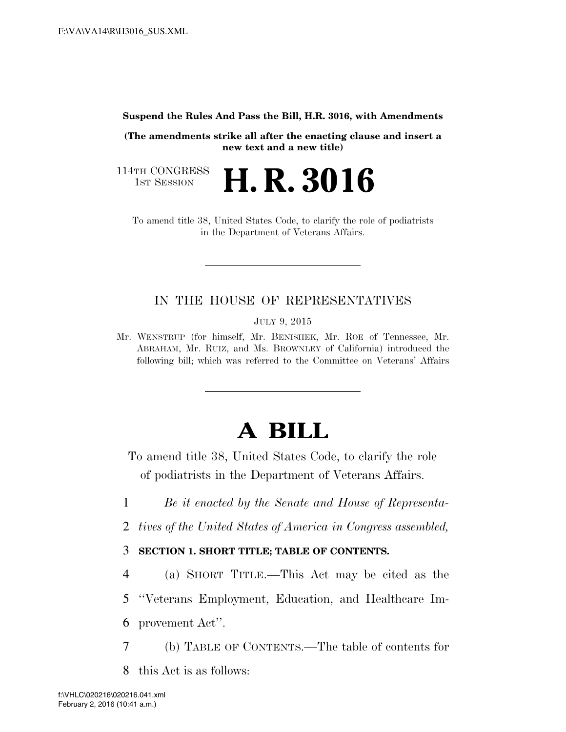**Suspend the Rules And Pass the Bill, H.R. 3016, with Amendments** 

**(The amendments strike all after the enacting clause and insert a new text and a new title)** 

114TH CONGRESS<br>1st Session

H. R. 3016

To amend title 38, United States Code, to clarify the role of podiatrists in the Department of Veterans Affairs.

### IN THE HOUSE OF REPRESENTATIVES

JULY 9, 2015

Mr. WENSTRUP (for himself, Mr. BENISHEK, Mr. ROE of Tennessee, Mr. ABRAHAM, Mr. RUIZ, and Ms. BROWNLEY of California) introduced the following bill; which was referred to the Committee on Veterans' Affairs

# **A BILL**

To amend title 38, United States Code, to clarify the role of podiatrists in the Department of Veterans Affairs.

1 *Be it enacted by the Senate and House of Representa-*

2 *tives of the United States of America in Congress assembled,* 

### 3 **SECTION 1. SHORT TITLE; TABLE OF CONTENTS.**

4 (a) SHORT TITLE.—This Act may be cited as the

5 ''Veterans Employment, Education, and Healthcare Im-

6 provement Act''.

7 (b) TABLE OF CONTENTS.—The table of contents for

8 this Act is as follows: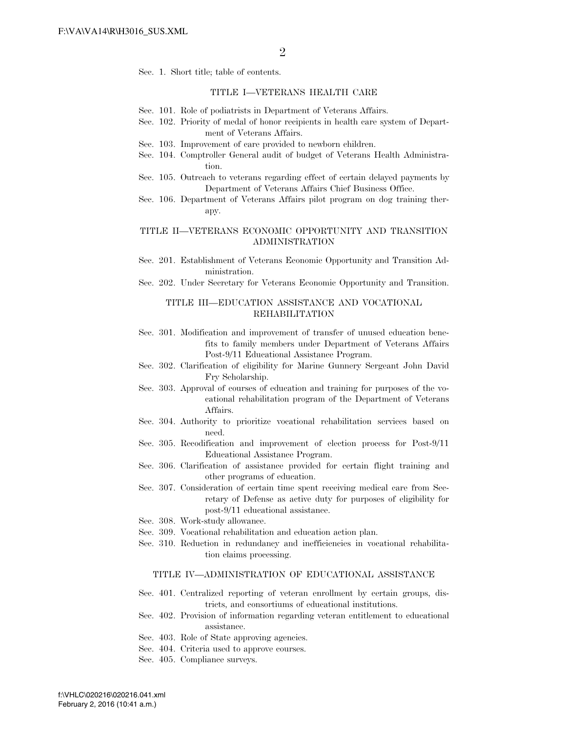Sec. 1. Short title; table of contents.

#### TITLE I—VETERANS HEALTH CARE

- Sec. 101. Role of podiatrists in Department of Veterans Affairs.
- Sec. 102. Priority of medal of honor recipients in health care system of Department of Veterans Affairs.
- Sec. 103. Improvement of care provided to newborn children.
- Sec. 104. Comptroller General audit of budget of Veterans Health Administration.
- Sec. 105. Outreach to veterans regarding effect of certain delayed payments by Department of Veterans Affairs Chief Business Office.
- Sec. 106. Department of Veterans Affairs pilot program on dog training therapy.

#### TITLE II—VETERANS ECONOMIC OPPORTUNITY AND TRANSITION ADMINISTRATION

- Sec. 201. Establishment of Veterans Economic Opportunity and Transition Administration.
- Sec. 202. Under Secretary for Veterans Economic Opportunity and Transition.

#### TITLE III—EDUCATION ASSISTANCE AND VOCATIONAL REHABILITATION

- Sec. 301. Modification and improvement of transfer of unused education benefits to family members under Department of Veterans Affairs Post-9/11 Educational Assistance Program.
- Sec. 302. Clarification of eligibility for Marine Gunnery Sergeant John David Fry Scholarship.
- Sec. 303. Approval of courses of education and training for purposes of the vocational rehabilitation program of the Department of Veterans Affairs.
- Sec. 304. Authority to prioritize vocational rehabilitation services based on need.
- Sec. 305. Recodification and improvement of election process for Post-9/11 Educational Assistance Program.
- Sec. 306. Clarification of assistance provided for certain flight training and other programs of education.
- Sec. 307. Consideration of certain time spent receiving medical care from Secretary of Defense as active duty for purposes of eligibility for post-9/11 educational assistance.
- Sec. 308. Work-study allowance.
- Sec. 309. Vocational rehabilitation and education action plan.
- Sec. 310. Reduction in redundancy and inefficiencies in vocational rehabilitation claims processing.

#### TITLE IV—ADMINISTRATION OF EDUCATIONAL ASSISTANCE

- Sec. 401. Centralized reporting of veteran enrollment by certain groups, districts, and consortiums of educational institutions.
- Sec. 402. Provision of information regarding veteran entitlement to educational assistance.
- Sec. 403. Role of State approving agencies.
- Sec. 404. Criteria used to approve courses.
- Sec. 405. Compliance surveys.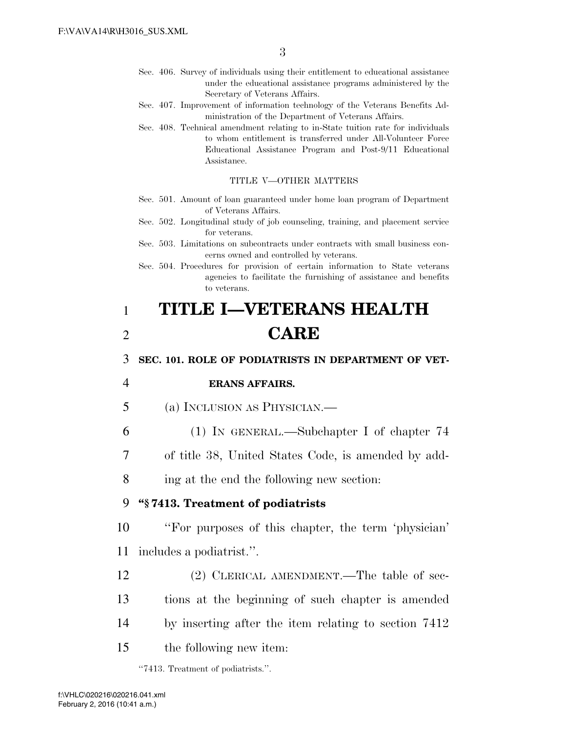- Sec. 406. Survey of individuals using their entitlement to educational assistance under the educational assistance programs administered by the Secretary of Veterans Affairs.
- Sec. 407. Improvement of information technology of the Veterans Benefits Administration of the Department of Veterans Affairs.
- Sec. 408. Technical amendment relating to in-State tuition rate for individuals to whom entitlement is transferred under All-Volunteer Force Educational Assistance Program and Post-9/11 Educational Assistance.

#### TITLE V—OTHER MATTERS

- Sec. 501. Amount of loan guaranteed under home loan program of Department of Veterans Affairs.
- Sec. 502. Longitudinal study of job counseling, training, and placement service for veterans.
- Sec. 503. Limitations on subcontracts under contracts with small business concerns owned and controlled by veterans.
- Sec. 504. Procedures for provision of certain information to State veterans agencies to facilitate the furnishing of assistance and benefits to veterans.

# 1 **TITLE I—VETERANS HEALTH**  2 **CARE**

3 **SEC. 101. ROLE OF PODIATRISTS IN DEPARTMENT OF VET-**

#### 4 **ERANS AFFAIRS.**

- 5 (a) INCLUSION AS PHYSICIAN.—
- 6 (1) IN GENERAL.—Subchapter I of chapter 74

7 of title 38, United States Code, is amended by add-

8 ing at the end the following new section:

### 9 **''§ 7413. Treatment of podiatrists**

10 ''For purposes of this chapter, the term 'physician' 11 includes a podiatrist.''.

 (2) CLERICAL AMENDMENT.—The table of sec- tions at the beginning of such chapter is amended by inserting after the item relating to section 7412 the following new item:

''7413. Treatment of podiatrists.''.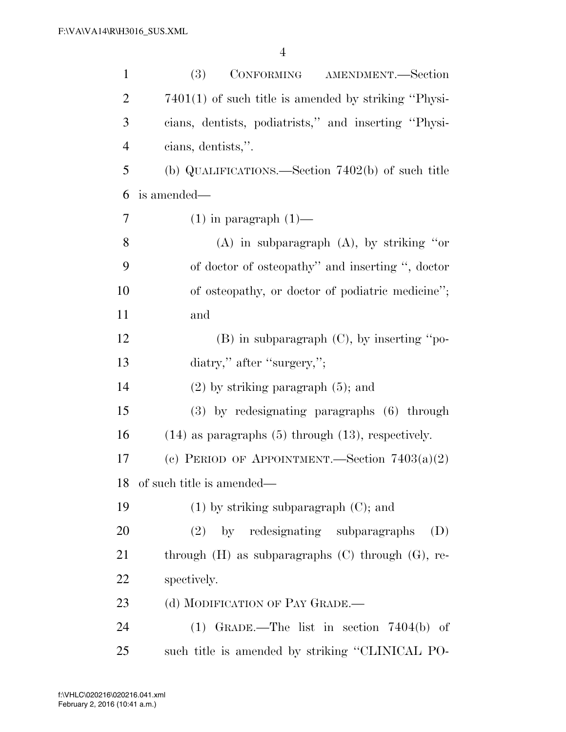| $\mathbf{1}$   | CONFORMING<br>(3)<br>AMENDMENT.-Section                   |
|----------------|-----------------------------------------------------------|
| $\overline{2}$ | $7401(1)$ of such title is amended by striking "Physi-    |
| 3              | cians, dentists, podiatrists," and inserting "Physi-      |
| $\overline{4}$ | cians, dentists,".                                        |
| 5              | (b) QUALIFICATIONS.—Section $7402(b)$ of such title       |
| 6              | is amended—                                               |
| $\overline{7}$ | $(1)$ in paragraph $(1)$ —                                |
| 8              | $(A)$ in subparagraph $(A)$ , by striking "or             |
| 9              | of doctor of osteopathy" and inserting ", doctor          |
| 10             | of osteopathy, or doctor of podiatric medicine";          |
| 11             | and                                                       |
| 12             | $(B)$ in subparagraph $(C)$ , by inserting "po-           |
| 13             | diatry," after "surgery,";                                |
| 14             | $(2)$ by striking paragraph $(5)$ ; and                   |
| 15             | (3) by redesignating paragraphs (6) through               |
| 16             | $(14)$ as paragraphs $(5)$ through $(13)$ , respectively. |
| 17             | (c) PERIOD OF APPOINTMENT.—Section $7403(a)(2)$           |
| 18             | of such title is amended—                                 |
| 19             | $(1)$ by striking subparagraph $(C)$ ; and                |
| 20             | (2) by redesignating subparagraphs<br>(D)                 |
| 21             | through $(H)$ as subparagraphs $(C)$ through $(G)$ , re-  |
| 22             | spectively.                                               |
| 23             | (d) MODIFICATION OF PAY GRADE.—                           |
| 24             | (1) GRADE.—The list in section $7404(b)$ of               |
| 25             | such title is amended by striking "CLINICAL PO-           |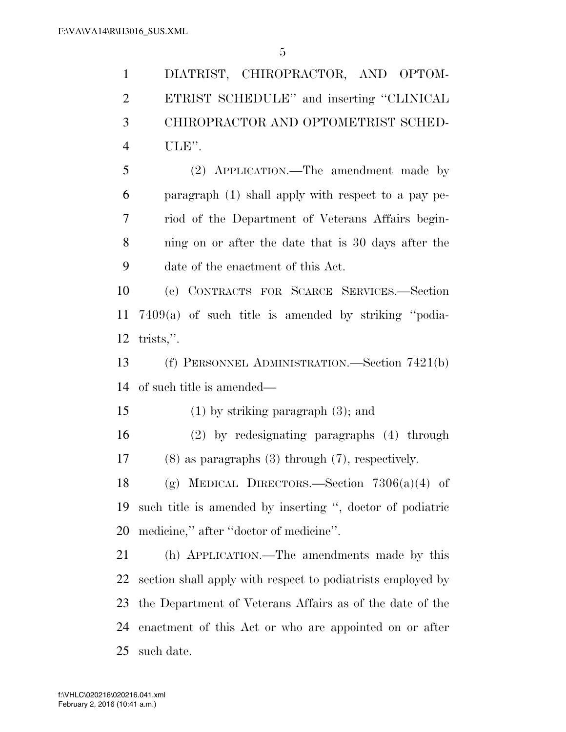DIATRIST, CHIROPRACTOR, AND OPTOM- ETRIST SCHEDULE'' and inserting ''CLINICAL CHIROPRACTOR AND OPTOMETRIST SCHED-ULE''.

 (2) APPLICATION.—The amendment made by paragraph (1) shall apply with respect to a pay pe- riod of the Department of Veterans Affairs begin- ning on or after the date that is 30 days after the date of the enactment of this Act.

 (e) CONTRACTS FOR SCARCE SERVICES.—Section 7409(a) of such title is amended by striking ''podia-trists,''.

 (f) PERSONNEL ADMINISTRATION.—Section 7421(b) of such title is amended—

(1) by striking paragraph (3); and

 (2) by redesignating paragraphs (4) through (8) as paragraphs (3) through (7), respectively.

18 (g) MEDICAL DIRECTORS.—Section  $7306(a)(4)$  of such title is amended by inserting '', doctor of podiatric medicine,'' after ''doctor of medicine''.

 (h) APPLICATION.—The amendments made by this section shall apply with respect to podiatrists employed by the Department of Veterans Affairs as of the date of the enactment of this Act or who are appointed on or after such date.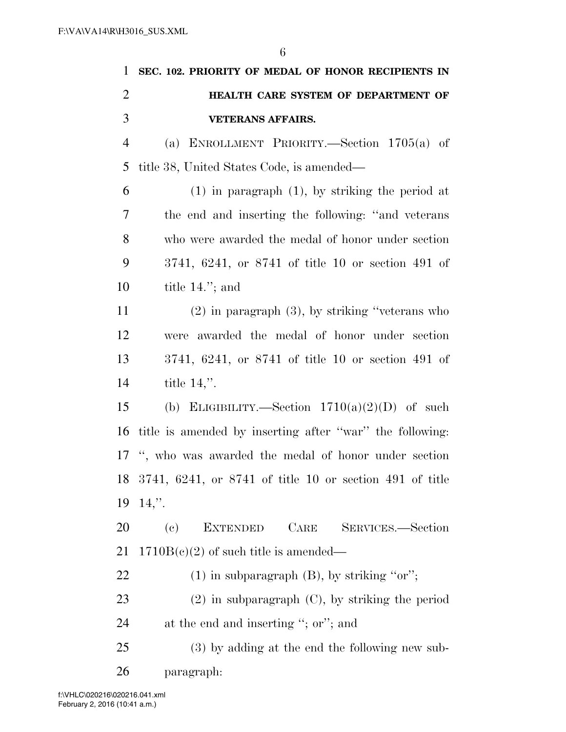| $\mathbf{1}$   | SEC. 102. PRIORITY OF MEDAL OF HONOR RECIPIENTS IN                         |
|----------------|----------------------------------------------------------------------------|
| $\overline{2}$ | HEALTH CARE SYSTEM OF DEPARTMENT OF                                        |
| 3              | <b>VETERANS AFFAIRS.</b>                                                   |
| 4              | (a) ENROLLMENT PRIORITY.—Section $1705(a)$ of                              |
| 5              | title 38, United States Code, is amended—                                  |
| 6              | $(1)$ in paragraph $(1)$ , by striking the period at                       |
| 7              | the end and inserting the following: "and veterans"                        |
| 8              | who were awarded the medal of honor under section                          |
| 9              | 3741, 6241, or 8741 of title 10 or section 491 of                          |
| 10             | title $14$ ."; and                                                         |
| 11             | $(2)$ in paragraph $(3)$ , by striking "veterans who                       |
| 12             | awarded the medal of honor under section<br>were                           |
| 13             | 3741, 6241, or 8741 of title 10 or section 491 of                          |
| 14             | title $14$ .".                                                             |
| 15             | (b) ELIGIBILITY.—Section $1710(a)(2)(D)$ of such                           |
| 16             | title is amended by inserting after "war" the following:                   |
| 17             | ", who was awarded the medal of honor under section                        |
| 18             | 3741, 6241, or 8741 of title 10 or section 491 of title                    |
| 19             | $14,$ ".                                                                   |
| 20             | <b>EXTENDED</b><br>CARE<br>$\left( \mathrm{e}\right)$<br>SERVICES.—Section |
| 21             | $1710B(c)(2)$ of such title is amended—                                    |
| 22             | $(1)$ in subparagraph $(B)$ , by striking "or";                            |
| 23             | $(2)$ in subparagraph $(C)$ , by striking the period                       |
| 24             | at the end and inserting "; or"; and                                       |
| 25             | (3) by adding at the end the following new sub-                            |
| 26             | paragraph:                                                                 |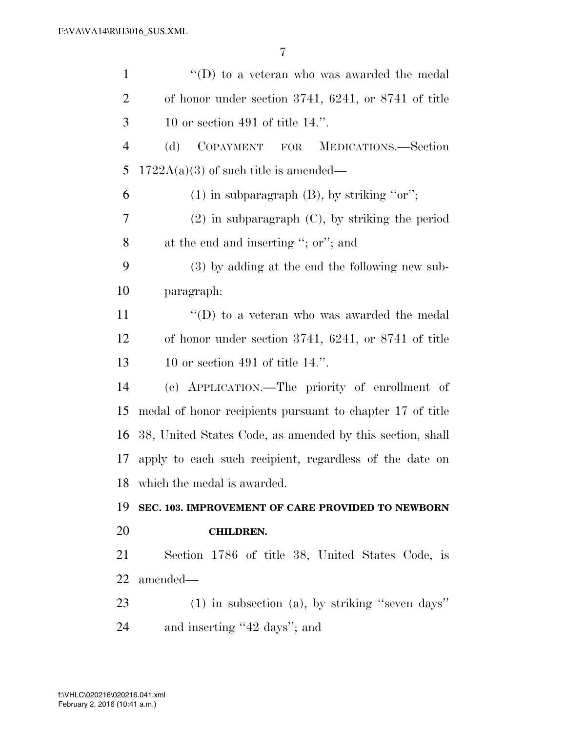| $\mathbf{1}$   | "(D) to a veteran who was awarded the medal               |
|----------------|-----------------------------------------------------------|
| 2              | of honor under section $3741, 6241$ , or $8741$ of title  |
| 3              | 10 or section 491 of title $14$ .".                       |
| $\overline{4}$ | COPAYMENT FOR<br>MEDICATIONS.—Section<br>(d)              |
| 5              | $1722A(a)(3)$ of such title is amended—                   |
| 6              | $(1)$ in subparagraph $(B)$ , by striking "or";           |
| 7              | $(2)$ in subparagraph $(C)$ , by striking the period      |
| 8              | at the end and inserting "; or"; and                      |
| 9              | (3) by adding at the end the following new sub-           |
| 10             | paragraph:                                                |
| 11             | "(D) to a veteran who was awarded the medal               |
| 12             | of honor under section $3741, 6241$ , or $8741$ of title  |
| 13             | 10 or section 491 of title $14$ .".                       |
| 14             | (e) APPLICATION.—The priority of enrollment of            |
| 15             | medal of honor recipients pursuant to chapter 17 of title |
| 16             | 38, United States Code, as amended by this section, shall |
|                |                                                           |
| 17             | apply to each such recipient, regardless of the date on   |
|                | 18 which the medal is awarded.                            |
| 19             | SEC. 103. IMPROVEMENT OF CARE PROVIDED TO NEWBORN         |
| 20             | <b>CHILDREN.</b>                                          |
| 21             | Section 1786 of title 38, United States Code, is          |
| 22             | amended—                                                  |
| 23             | $(1)$ in subsection (a), by striking "seven days"         |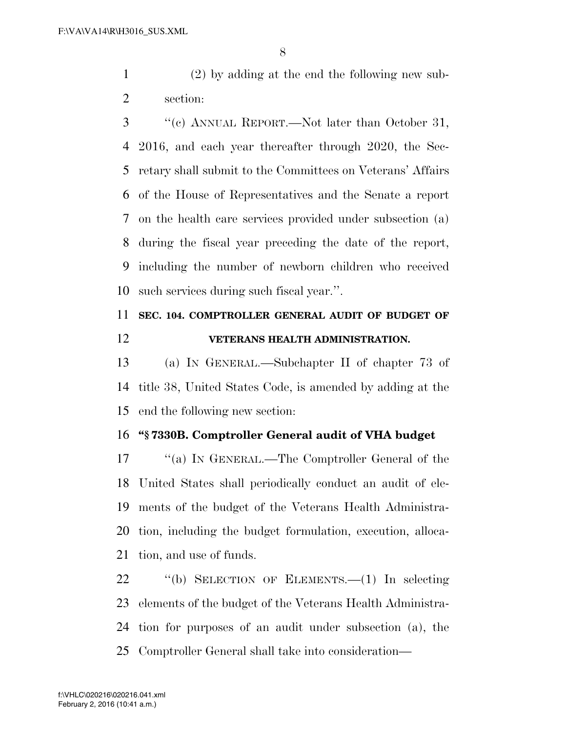(2) by adding at the end the following new sub-section:

 ''(c) ANNUAL REPORT.—Not later than October 31, 2016, and each year thereafter through 2020, the Sec- retary shall submit to the Committees on Veterans' Affairs of the House of Representatives and the Senate a report on the health care services provided under subsection (a) during the fiscal year preceding the date of the report, including the number of newborn children who received such services during such fiscal year.''.

# **SEC. 104. COMPTROLLER GENERAL AUDIT OF BUDGET OF VETERANS HEALTH ADMINISTRATION.**

 (a) IN GENERAL.—Subchapter II of chapter 73 of title 38, United States Code, is amended by adding at the end the following new section:

### **''§ 7330B. Comptroller General audit of VHA budget**

 ''(a) IN GENERAL.—The Comptroller General of the United States shall periodically conduct an audit of ele- ments of the budget of the Veterans Health Administra- tion, including the budget formulation, execution, alloca-tion, and use of funds.

 ''(b) SELECTION OF ELEMENTS.—(1) In selecting elements of the budget of the Veterans Health Administra- tion for purposes of an audit under subsection (a), the Comptroller General shall take into consideration—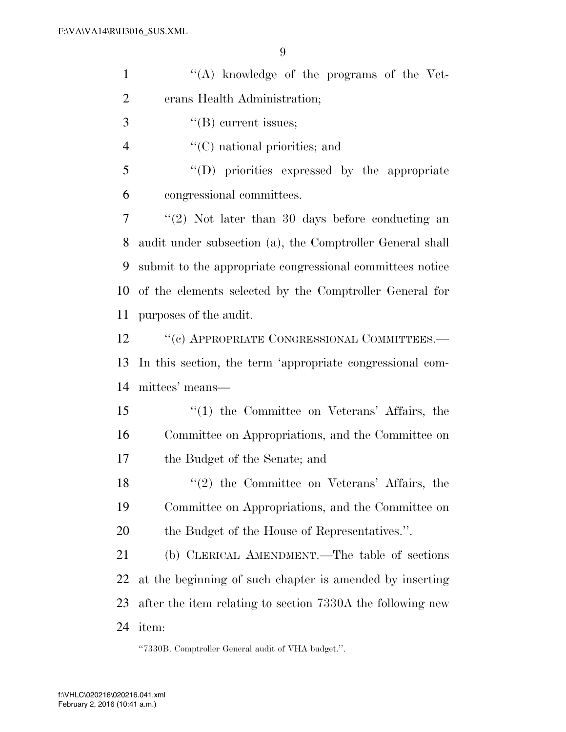| $\mathbf{1}$   | "(A) knowledge of the programs of the Vet-                 |
|----------------|------------------------------------------------------------|
| $\overline{2}$ | erans Health Administration;                               |
| 3              | $\lq\lq$ current issues;                                   |
| $\overline{4}$ | $\lq\lq$ <sup>c</sup> (C) national priorities; and         |
| 5              | "(D) priorities expressed by the appropriate               |
| 6              | congressional committees.                                  |
| 7              | $\lq(2)$ Not later than 30 days before conducting an       |
| 8              | audit under subsection (a), the Comptroller General shall  |
| 9              | submit to the appropriate congressional committees notice  |
| 10             | of the elements selected by the Comptroller General for    |
| 11             | purposes of the audit.                                     |
| 12             | "(c) APPROPRIATE CONGRESSIONAL COMMITTEES.-                |
| 13             | In this section, the term 'appropriate congressional com-  |
| 14             | mittees' means—                                            |
| 15             | $\lq(1)$ the Committee on Veterans' Affairs, the           |
| 16             | Committee on Appropriations, and the Committee on          |
| 17             | the Budget of the Senate; and                              |
| 18             | $\lq(2)$ the Committee on Veterans' Affairs, the           |
| 19             | Committee on Appropriations, and the Committee on          |
| 20             | the Budget of the House of Representatives.".              |
| 21             | (b) CLERICAL AMENDMENT.—The table of sections              |
| 22             | at the beginning of such chapter is amended by inserting   |
| 23             | after the item relating to section 7330A the following new |
| 24             | item:                                                      |

''7330B. Comptroller General audit of VHA budget.''.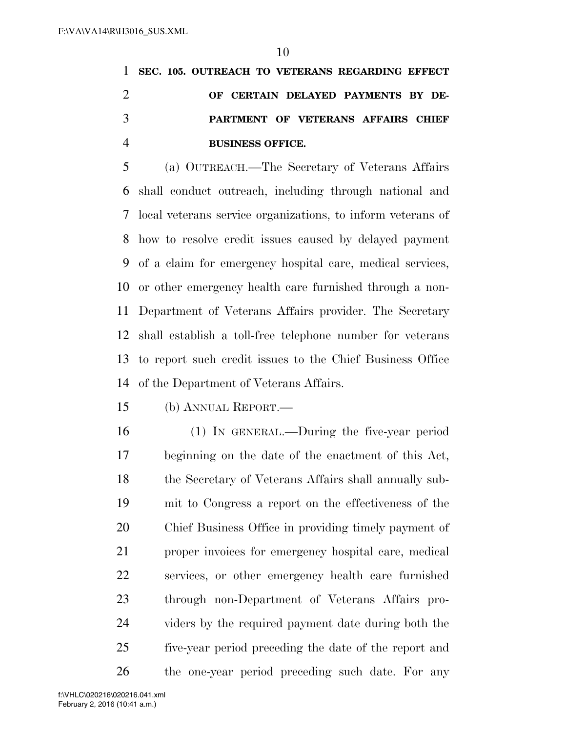**SEC. 105. OUTREACH TO VETERANS REGARDING EFFECT OF CERTAIN DELAYED PAYMENTS BY DE- PARTMENT OF VETERANS AFFAIRS CHIEF BUSINESS OFFICE.** 

 (a) OUTREACH.—The Secretary of Veterans Affairs shall conduct outreach, including through national and local veterans service organizations, to inform veterans of how to resolve credit issues caused by delayed payment of a claim for emergency hospital care, medical services, or other emergency health care furnished through a non- Department of Veterans Affairs provider. The Secretary shall establish a toll-free telephone number for veterans to report such credit issues to the Chief Business Office of the Department of Veterans Affairs.

- (b) ANNUAL REPORT.—
- 

 (1) IN GENERAL.—During the five-year period beginning on the date of the enactment of this Act, the Secretary of Veterans Affairs shall annually sub- mit to Congress a report on the effectiveness of the Chief Business Office in providing timely payment of proper invoices for emergency hospital care, medical services, or other emergency health care furnished through non-Department of Veterans Affairs pro- viders by the required payment date during both the five-year period preceding the date of the report and the one-year period preceding such date. For any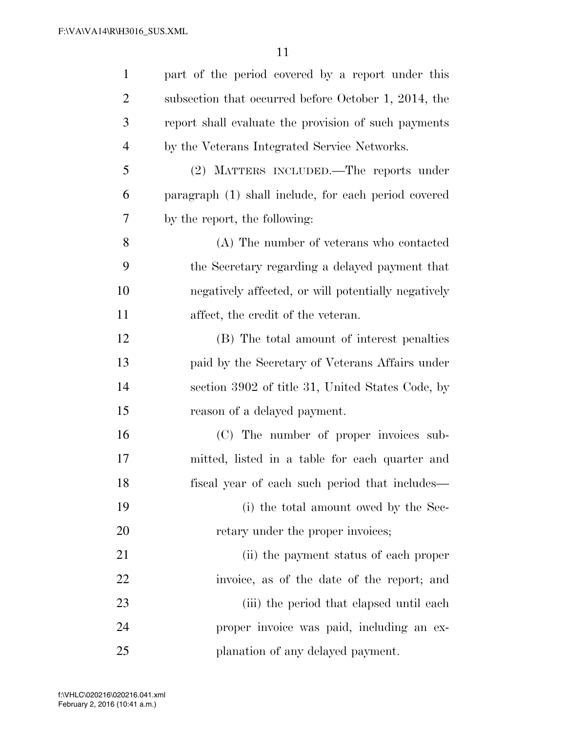| $\mathbf{1}$   | part of the period covered by a report under this    |
|----------------|------------------------------------------------------|
| 2              | subsection that occurred before October 1, 2014, the |
| 3              | report shall evaluate the provision of such payments |
| $\overline{4}$ | by the Veterans Integrated Service Networks.         |
| 5              | (2) MATTERS INCLUDED.—The reports under              |
| 6              | paragraph (1) shall include, for each period covered |
| 7              | by the report, the following:                        |
| 8              | (A) The number of veterans who contacted             |
| 9              | the Secretary regarding a delayed payment that       |
| 10             | negatively affected, or will potentially negatively  |
| 11             | affect, the credit of the veteran.                   |
| 12             | (B) The total amount of interest penalties           |
| 13             | paid by the Secretary of Veterans Affairs under      |
| 14             | section 3902 of title 31, United States Code, by     |
| 15             | reason of a delayed payment.                         |
| 16             | (C) The number of proper invoices sub-               |
| 17             | mitted, listed in a table for each quarter and       |
| 18             | fiscal year of each such period that includes—       |
| 19             | (i) the total amount owed by the Sec-                |
| 20             | retary under the proper invoices;                    |
| 21             | (ii) the payment status of each proper               |
| 22             | invoice, as of the date of the report; and           |
| 23             | (iii) the period that elapsed until each             |
| 24             | proper invoice was paid, including an ex-            |
| 25             | planation of any delayed payment.                    |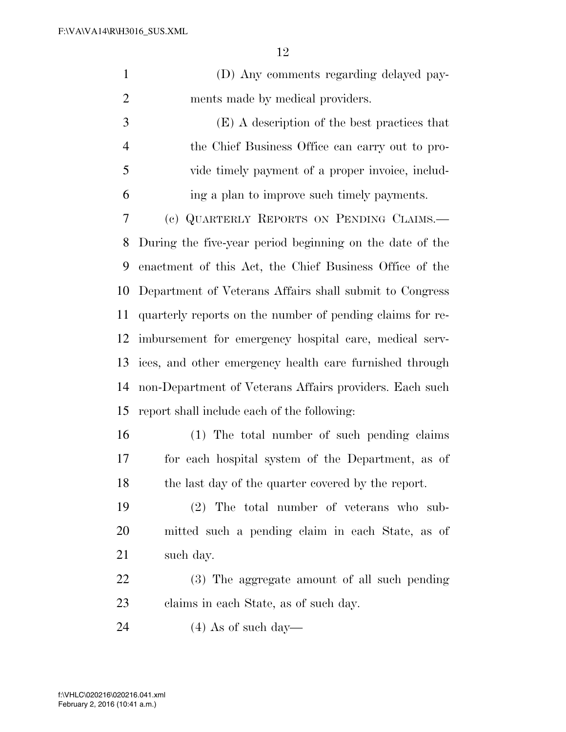| (D) Any comments regarding delayed pay- |
|-----------------------------------------|
| ments made by medical providers.        |

 (E) A description of the best practices that the Chief Business Office can carry out to pro- vide timely payment of a proper invoice, includ-ing a plan to improve such timely payments.

 (c) QUARTERLY REPORTS ON PENDING CLAIMS.— During the five-year period beginning on the date of the enactment of this Act, the Chief Business Office of the Department of Veterans Affairs shall submit to Congress quarterly reports on the number of pending claims for re- imbursement for emergency hospital care, medical serv- ices, and other emergency health care furnished through non-Department of Veterans Affairs providers. Each such report shall include each of the following:

- (1) The total number of such pending claims for each hospital system of the Department, as of 18 the last day of the quarter covered by the report.
- (2) The total number of veterans who sub- mitted such a pending claim in each State, as of such day.
- (3) The aggregate amount of all such pending claims in each State, as of such day.

24  $(4)$  As of such day—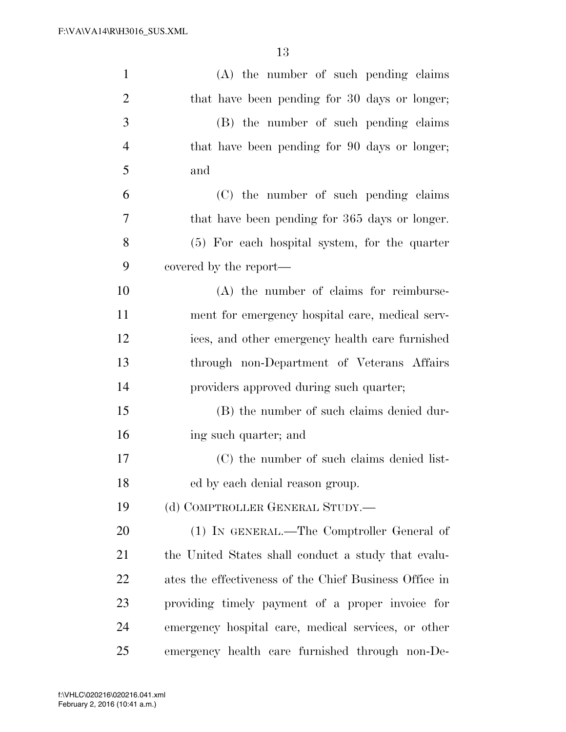| $\mathbf{1}$   | (A) the number of such pending claims                  |
|----------------|--------------------------------------------------------|
| $\overline{2}$ | that have been pending for 30 days or longer;          |
| 3              | (B) the number of such pending claims                  |
| $\overline{4}$ | that have been pending for 90 days or longer;          |
| 5              | and                                                    |
| 6              | (C) the number of such pending claims                  |
| $\overline{7}$ | that have been pending for 365 days or longer.         |
| 8              | (5) For each hospital system, for the quarter          |
| 9              | covered by the report—                                 |
| 10             | (A) the number of claims for reimburse-                |
| 11             | ment for emergency hospital care, medical serv-        |
| 12             | ices, and other emergency health care furnished        |
| 13             | through non-Department of Veterans Affairs             |
| 14             | providers approved during such quarter;                |
| 15             | (B) the number of such claims denied dur-              |
| 16             | ing such quarter; and                                  |
| 17             | (C) the number of such claims denied list-             |
| 18             | ed by each denial reason group.                        |
| 19             | (d) COMPTROLLER GENERAL STUDY.-                        |
| 20             | (1) IN GENERAL.—The Comptroller General of             |
| 21             | the United States shall conduct a study that evalu-    |
| 22             | ates the effectiveness of the Chief Business Office in |
| 23             | providing timely payment of a proper invoice for       |
| 24             | emergency hospital care, medical services, or other    |
| 25             | emergency health care furnished through non-De-        |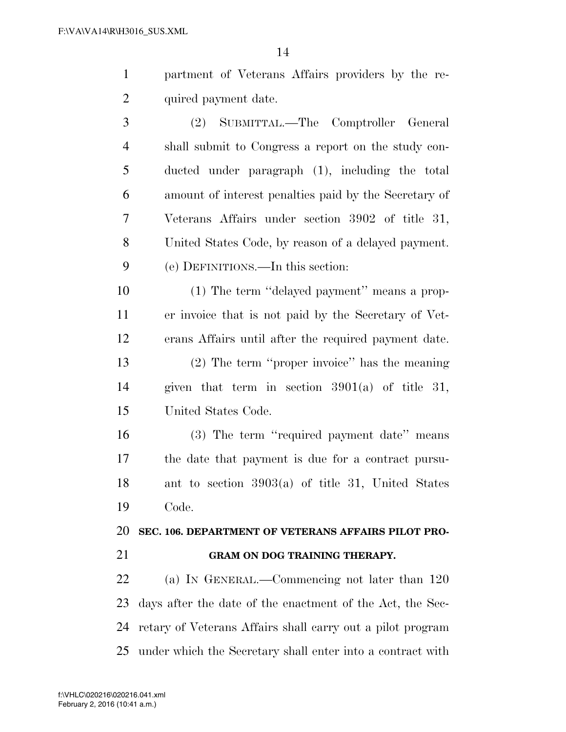- partment of Veterans Affairs providers by the re-2 quired payment date.
- (2) SUBMITTAL.—The Comptroller General shall submit to Congress a report on the study con- ducted under paragraph (1), including the total amount of interest penalties paid by the Secretary of Veterans Affairs under section 3902 of title 31, United States Code, by reason of a delayed payment. (e) DEFINITIONS.—In this section:

 (1) The term ''delayed payment'' means a prop- er invoice that is not paid by the Secretary of Vet- erans Affairs until after the required payment date. (2) The term ''proper invoice'' has the meaning given that term in section 3901(a) of title 31, United States Code.

 (3) The term ''required payment date'' means the date that payment is due for a contract pursu- ant to section 3903(a) of title 31, United States Code.

# **SEC. 106. DEPARTMENT OF VETERANS AFFAIRS PILOT PRO-**

### **GRAM ON DOG TRAINING THERAPY.**

 (a) IN GENERAL.—Commencing not later than 120 days after the date of the enactment of the Act, the Sec- retary of Veterans Affairs shall carry out a pilot program under which the Secretary shall enter into a contract with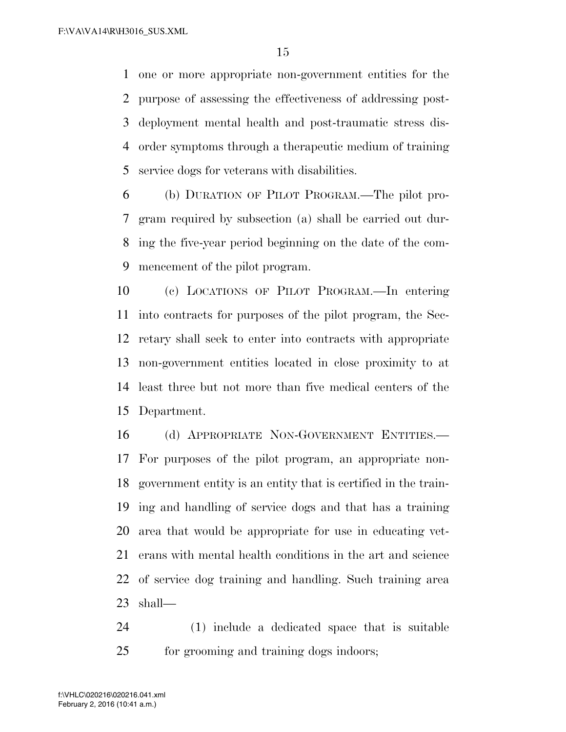one or more appropriate non-government entities for the purpose of assessing the effectiveness of addressing post- deployment mental health and post-traumatic stress dis- order symptoms through a therapeutic medium of training service dogs for veterans with disabilities.

 (b) DURATION OF PILOT PROGRAM.—The pilot pro- gram required by subsection (a) shall be carried out dur- ing the five-year period beginning on the date of the com-mencement of the pilot program.

 (c) LOCATIONS OF PILOT PROGRAM.—In entering into contracts for purposes of the pilot program, the Sec- retary shall seek to enter into contracts with appropriate non-government entities located in close proximity to at least three but not more than five medical centers of the Department.

 (d) APPROPRIATE NON-GOVERNMENT ENTITIES.— For purposes of the pilot program, an appropriate non- government entity is an entity that is certified in the train- ing and handling of service dogs and that has a training area that would be appropriate for use in educating vet- erans with mental health conditions in the art and science of service dog training and handling. Such training area shall—

 (1) include a dedicated space that is suitable 25 for grooming and training dogs indoors;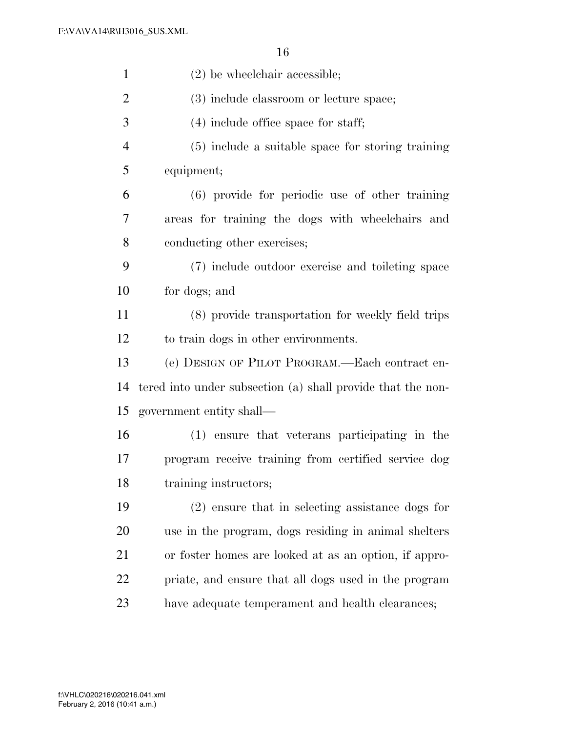| $\mathbf{1}$   | $(2)$ be wheelchair accessible;                             |
|----------------|-------------------------------------------------------------|
| $\overline{2}$ | (3) include classroom or lecture space;                     |
| 3              | $(4)$ include office space for staff;                       |
| 4              | (5) include a suitable space for storing training           |
| 5              | equipment;                                                  |
| 6              | (6) provide for periodic use of other training              |
| 7              | areas for training the dogs with wheelchairs and            |
| 8              | conducting other exercises;                                 |
| 9              | (7) include outdoor exercise and toileting space            |
| 10             | for dogs; and                                               |
| 11             | (8) provide transportation for weekly field trips           |
| 12             | to train dogs in other environments.                        |
| 13             | (e) DESIGN OF PILOT PROGRAM.—Each contract en-              |
| 14             | tered into under subsection (a) shall provide that the non- |
| 15             | government entity shall—                                    |
| 16             | (1) ensure that veterans participating in the               |
| 17             | program receive training from certified service dog         |
| 18             | training instructors;                                       |
| 19             | $(2)$ ensure that in selecting assistance dogs for          |
| 20             | use in the program, dogs residing in animal shelters        |
| 21             | or foster homes are looked at as an option, if appro-       |
| 22             | priate, and ensure that all dogs used in the program        |
| 23             | have adequate temperament and health clearances;            |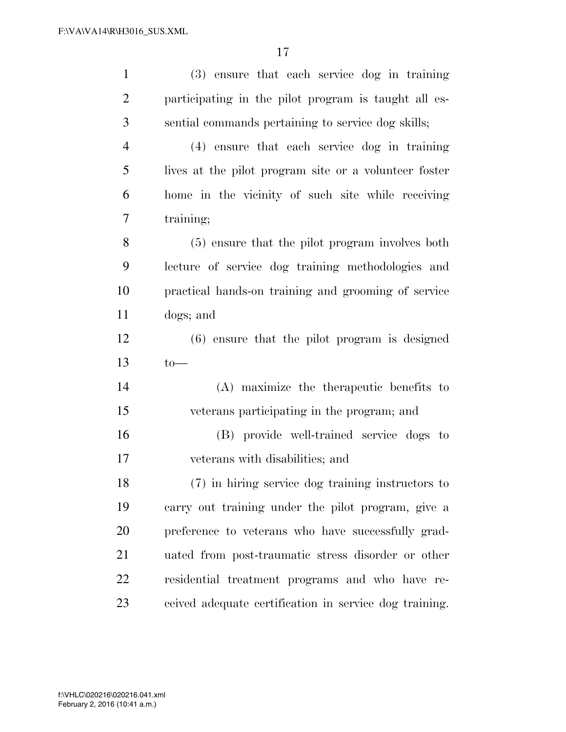| $\mathbf{1}$   | (3) ensure that each service dog in training           |
|----------------|--------------------------------------------------------|
| $\overline{2}$ | participating in the pilot program is taught all es-   |
| 3              | sential commands pertaining to service dog skills;     |
| $\overline{4}$ | (4) ensure that each service dog in training           |
| 5              | lives at the pilot program site or a volunteer foster  |
| 6              | home in the vicinity of such site while receiving      |
| 7              | training;                                              |
| 8              | (5) ensure that the pilot program involves both        |
| 9              | lecture of service dog training methodologies and      |
| 10             | practical hands-on training and grooming of service    |
| 11             | dogs; and                                              |
| 12             | (6) ensure that the pilot program is designed          |
| 13             | $to-$                                                  |
| 14             | (A) maximize the therapeutic benefits to               |
| 15             | veterans participating in the program; and             |
| 16             | (B) provide well-trained service dogs to               |
| 17             | veterans with disabilities; and                        |
| 18             | (7) in hiring service dog training instructors to      |
| 19             | carry out training under the pilot program, give a     |
| 20             | preference to veterans who have successfully grad-     |
| 21             | uated from post-traumatic stress disorder or other     |
| 22             | residential treatment programs and who have re-        |
| 23             | ceived adequate certification in service dog training. |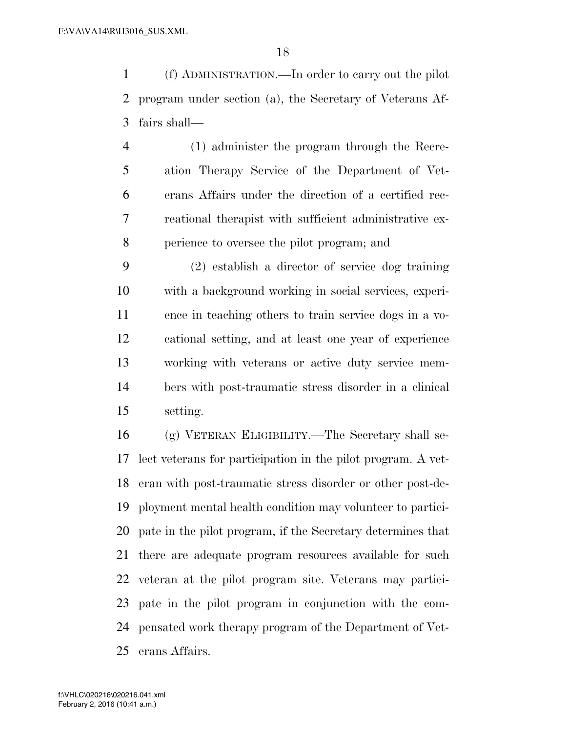(f) ADMINISTRATION.—In order to carry out the pilot program under section (a), the Secretary of Veterans Af-fairs shall—

 (1) administer the program through the Recre- ation Therapy Service of the Department of Vet- erans Affairs under the direction of a certified rec- reational therapist with sufficient administrative ex-perience to oversee the pilot program; and

 (2) establish a director of service dog training with a background working in social services, experi- ence in teaching others to train service dogs in a vo- cational setting, and at least one year of experience working with veterans or active duty service mem- bers with post-traumatic stress disorder in a clinical setting.

 (g) VETERAN ELIGIBILITY.—The Secretary shall se- lect veterans for participation in the pilot program. A vet- eran with post-traumatic stress disorder or other post-de- ployment mental health condition may volunteer to partici- pate in the pilot program, if the Secretary determines that there are adequate program resources available for such veteran at the pilot program site. Veterans may partici- pate in the pilot program in conjunction with the com- pensated work therapy program of the Department of Vet-erans Affairs.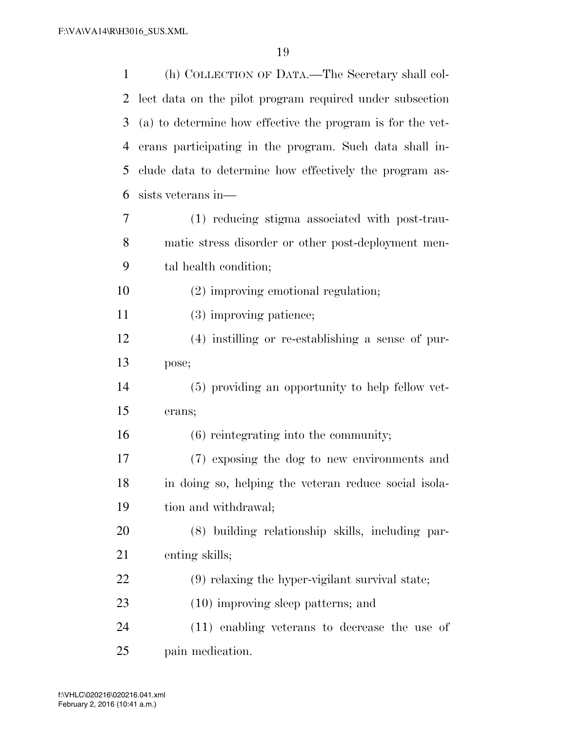| 1  | (h) COLLECTION OF DATA.—The Secretary shall col-           |
|----|------------------------------------------------------------|
| 2  | lect data on the pilot program required under subsection   |
| 3  | (a) to determine how effective the program is for the vet- |
| 4  | erans participating in the program. Such data shall in-    |
| 5  | clude data to determine how effectively the program as-    |
| 6  | sists veterans in—                                         |
| 7  | (1) reducing stigma associated with post-trau-             |
| 8  | matic stress disorder or other post-deployment men-        |
| 9  | tal health condition;                                      |
| 10 | (2) improving emotional regulation;                        |
| 11 | (3) improving patience;                                    |
| 12 | $(4)$ instilling or re-establishing a sense of pur-        |
| 13 | pose;                                                      |
| 14 | (5) providing an opportunity to help fellow vet-           |
| 15 | erans;                                                     |
| 16 | $(6)$ reintegrating into the community;                    |
| 17 | (7) exposing the dog to new environments and               |
| 18 | in doing so, helping the veteran reduce social isola-      |
| 19 | tion and withdrawal;                                       |
| 20 | (8) building relationship skills, including par-           |
| 21 | enting skills;                                             |
| 22 | (9) relaxing the hyper-vigilant survival state;            |
| 23 | $(10)$ improving sleep patterns; and                       |
| 24 | (11) enabling veterans to decrease the use of              |
| 25 | pain medication.                                           |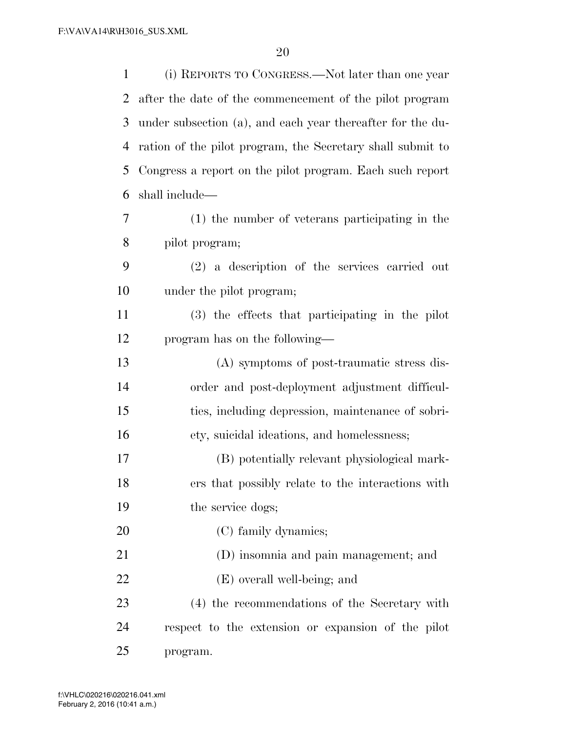| $\mathbf{1}$ | (i) REPORTS TO CONGRESS.—Not later than one year           |
|--------------|------------------------------------------------------------|
| 2            | after the date of the commencement of the pilot program    |
| 3            | under subsection (a), and each year thereafter for the du- |
| 4            | ration of the pilot program, the Secretary shall submit to |
| 5            | Congress a report on the pilot program. Each such report   |
| 6            | shall include—                                             |
| 7            | (1) the number of veterans participating in the            |
| 8            | pilot program;                                             |
| 9            | (2) a description of the services carried out              |
| 10           | under the pilot program;                                   |
| 11           | (3) the effects that participating in the pilot            |
| 12           | program has on the following—                              |
| 13           | (A) symptoms of post-traumatic stress dis-                 |
| 14           | order and post-deployment adjustment difficul-             |
| 15           | ties, including depression, maintenance of sobri-          |
| 16           | ety, suicidal ideations, and homelessness;                 |
| 17           | (B) potentially relevant physiological mark-               |
| 18           | ers that possibly relate to the interactions with          |
| 19           | the service dogs;                                          |
| 20           | (C) family dynamics;                                       |
| 21           | (D) insomnia and pain management; and                      |
| 22           | (E) overall well-being; and                                |
| 23           | (4) the recommendations of the Secretary with              |
| 24           | respect to the extension or expansion of the pilot         |
| 25           | program.                                                   |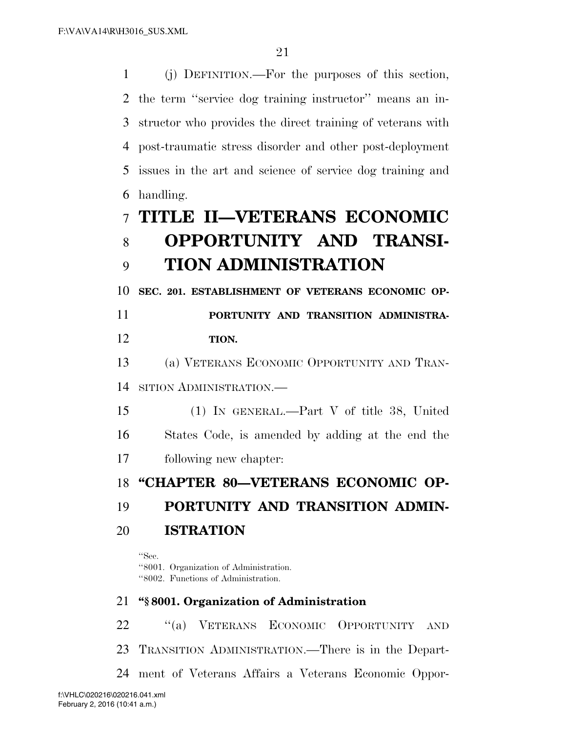(j) DEFINITION.—For the purposes of this section, the term ''service dog training instructor'' means an in- structor who provides the direct training of veterans with post-traumatic stress disorder and other post-deployment issues in the art and science of service dog training and handling. **TITLE II—VETERANS ECONOMIC OPPORTUNITY AND TRANSI- TION ADMINISTRATION SEC. 201. ESTABLISHMENT OF VETERANS ECONOMIC OP- PORTUNITY AND TRANSITION ADMINISTRA- TION.**  (a) VETERANS ECONOMIC OPPORTUNITY AND TRAN- SITION ADMINISTRATION.— (1) IN GENERAL.—Part V of title 38, United States Code, is amended by adding at the end the following new chapter: **''CHAPTER 80—VETERANS ECONOMIC OP- PORTUNITY AND TRANSITION ADMIN- ISTRATION**  ''Sec. ''8001. Organization of Administration. ''8002. Functions of Administration. **''§ 8001. Organization of Administration**  ''(a) VETERANS ECONOMIC OPPORTUNITY AND TRANSITION ADMINISTRATION.—There is in the Depart-ment of Veterans Affairs a Veterans Economic Oppor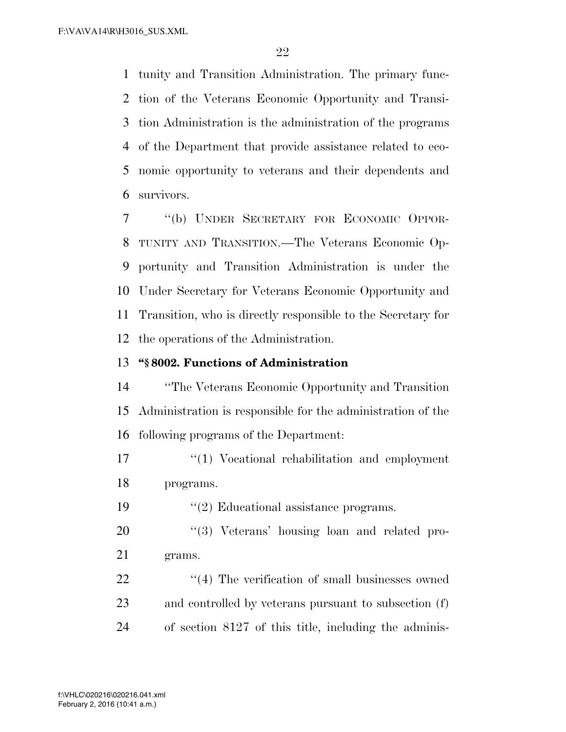tunity and Transition Administration. The primary func- tion of the Veterans Economic Opportunity and Transi- tion Administration is the administration of the programs of the Department that provide assistance related to eco- nomic opportunity to veterans and their dependents and survivors.

 ''(b) UNDER SECRETARY FOR ECONOMIC OPPOR- TUNITY AND TRANSITION.—The Veterans Economic Op- portunity and Transition Administration is under the Under Secretary for Veterans Economic Opportunity and Transition, who is directly responsible to the Secretary for the operations of the Administration.

### **''§ 8002. Functions of Administration**

 ''The Veterans Economic Opportunity and Transition Administration is responsible for the administration of the following programs of the Department:

 ''(1) Vocational rehabilitation and employment programs.

''(2) Educational assistance programs.

20 "(3) Veterans' housing loan and related pro-grams.

22  $\frac{4}{10}$  The verification of small businesses owned and controlled by veterans pursuant to subsection (f) of section 8127 of this title, including the adminis-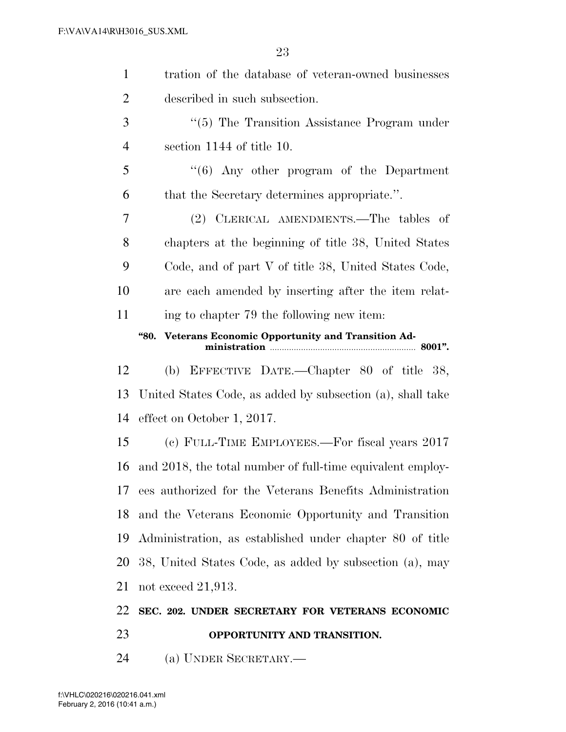| 1              | tration of the database of veteran-owned businesses             |
|----------------|-----------------------------------------------------------------|
| $\overline{2}$ | described in such subsection.                                   |
| 3              | $\lq(5)$ The Transition Assistance Program under                |
| $\overline{4}$ | section 1144 of title 10.                                       |
| 5              | $\cdot$ (6) Any other program of the Department                 |
| 6              | that the Secretary determines appropriate.".                    |
| 7              | (2) CLERICAL AMENDMENTS.—The tables of                          |
| 8              | chapters at the beginning of title 38, United States            |
| 9              | Code, and of part V of title 38, United States Code,            |
| 10             | are each amended by inserting after the item relat-             |
| 11             | ing to chapter 79 the following new item:                       |
|                | Veterans Economic Opportunity and Transition Ad-<br><b>"80.</b> |
| 12             | (b) EFFECTIVE DATE.—Chapter 80 of title 38,                     |
| 13             | United States Code, as added by subsection (a), shall take      |
| 14             | effect on October 1, 2017.                                      |
| 15             | (c) FULL-TIME EMPLOYEES.—For fiscal years 2017                  |
| 16             | and 2018, the total number of full-time equivalent employ-      |
| 17             | ees authorized for the Veterans Benefits Administration         |
| 18             | and the Veterans Economic Opportunity and Transition            |
| 19             | Administration, as established under chapter 80 of title        |
| 20             | 38, United States Code, as added by subsection (a), may         |
| 21             | not exceed $21,913$ .                                           |
| 22             | SEC. 202. UNDER SECRETARY FOR VETERANS ECONOMIC                 |
| 23             | OPPORTUNITY AND TRANSITION.                                     |
| 24             | (a) UNDER SECRETARY.—                                           |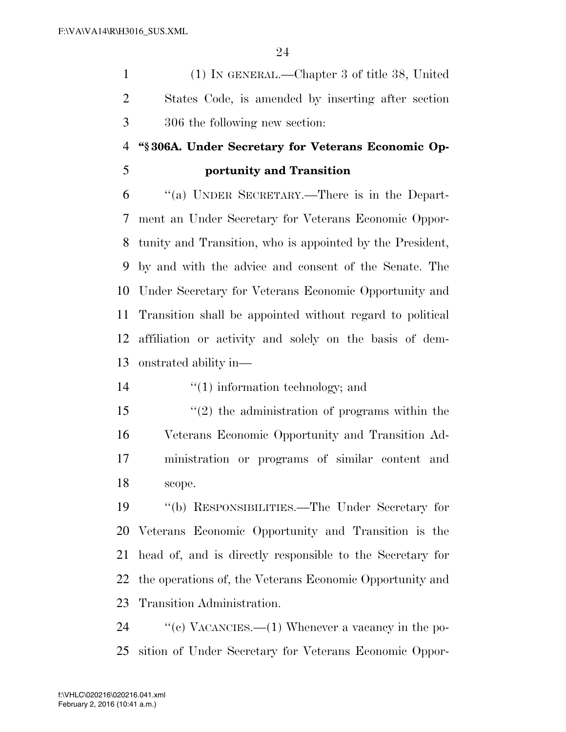(1) IN GENERAL.—Chapter 3 of title 38, United States Code, is amended by inserting after section 306 the following new section:

### **''§ 306A. Under Secretary for Veterans Economic Op-**

### **portunity and Transition**

 ''(a) UNDER SECRETARY.—There is in the Depart- ment an Under Secretary for Veterans Economic Oppor- tunity and Transition, who is appointed by the President, by and with the advice and consent of the Senate. The Under Secretary for Veterans Economic Opportunity and Transition shall be appointed without regard to political affiliation or activity and solely on the basis of dem-onstrated ability in—

14  $\frac{1}{2}$  (1) information technology; and

 ''(2) the administration of programs within the Veterans Economic Opportunity and Transition Ad- ministration or programs of similar content and scope.

 ''(b) RESPONSIBILITIES.—The Under Secretary for Veterans Economic Opportunity and Transition is the head of, and is directly responsible to the Secretary for the operations of, the Veterans Economic Opportunity and Transition Administration.

24  $\text{``(c) VACANCIES.}$  (1) Whenever a vacancy in the po-sition of Under Secretary for Veterans Economic Oppor-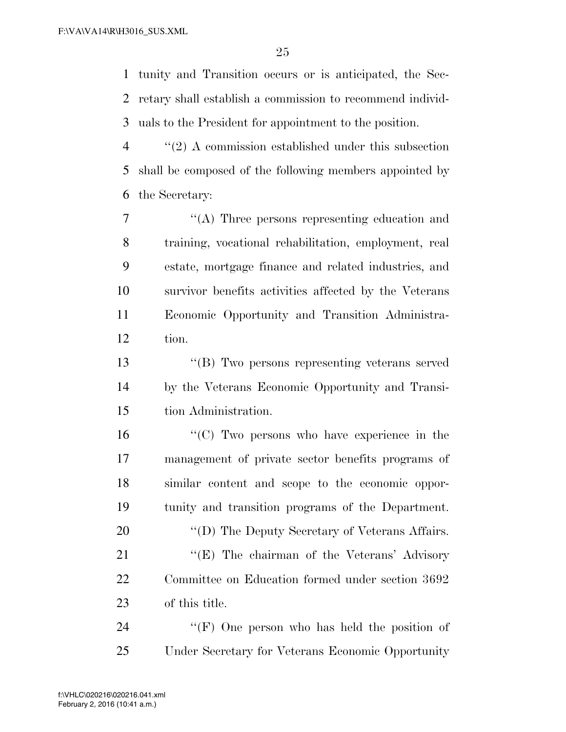tunity and Transition occurs or is anticipated, the Sec- retary shall establish a commission to recommend individ-uals to the President for appointment to the position.

 ''(2) A commission established under this subsection shall be composed of the following members appointed by the Secretary:

 ''(A) Three persons representing education and training, vocational rehabilitation, employment, real estate, mortgage finance and related industries, and survivor benefits activities affected by the Veterans Economic Opportunity and Transition Administra-tion.

 ''(B) Two persons representing veterans served by the Veterans Economic Opportunity and Transi-tion Administration.

 ''(C) Two persons who have experience in the management of private sector benefits programs of similar content and scope to the economic oppor- tunity and transition programs of the Department. 20 "'(D) The Deputy Secretary of Veterans Affairs. 21 ''(E) The chairman of the Veterans' Advisory Committee on Education formed under section 3692 of this title.

24  $\langle f \rangle$  One person who has held the position of Under Secretary for Veterans Economic Opportunity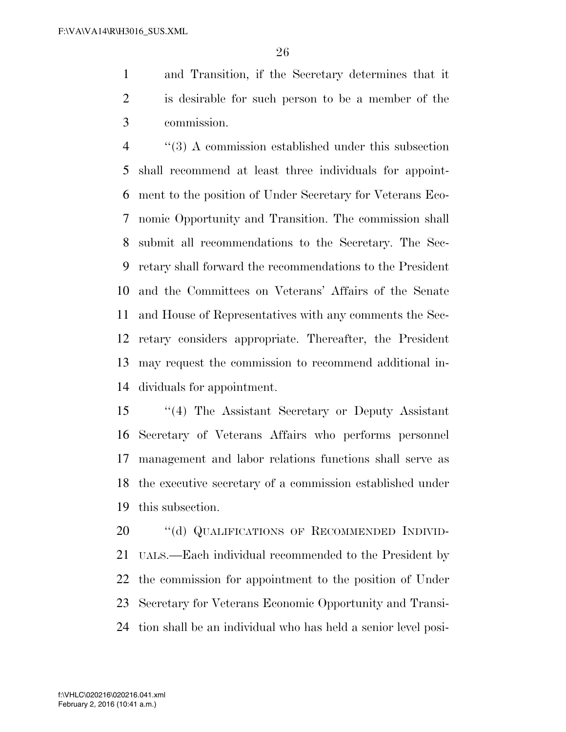and Transition, if the Secretary determines that it is desirable for such person to be a member of the commission.

 ''(3) A commission established under this subsection shall recommend at least three individuals for appoint- ment to the position of Under Secretary for Veterans Eco- nomic Opportunity and Transition. The commission shall submit all recommendations to the Secretary. The Sec- retary shall forward the recommendations to the President and the Committees on Veterans' Affairs of the Senate and House of Representatives with any comments the Sec- retary considers appropriate. Thereafter, the President may request the commission to recommend additional in-dividuals for appointment.

 ''(4) The Assistant Secretary or Deputy Assistant Secretary of Veterans Affairs who performs personnel management and labor relations functions shall serve as the executive secretary of a commission established under this subsection.

20 "(d) QUALIFICATIONS OF RECOMMENDED INDIVID- UALS.—Each individual recommended to the President by the commission for appointment to the position of Under Secretary for Veterans Economic Opportunity and Transi-tion shall be an individual who has held a senior level posi-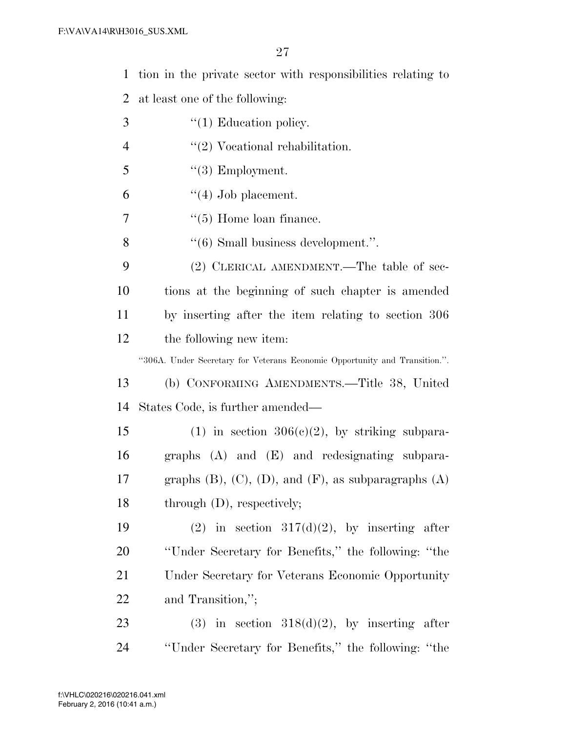tion in the private sector with responsibilities relating to at least one of the following: ''(1) Education policy.  $\frac{4}{2}$  Vocational rehabilitation. ''(3) Employment.  $6 \qquad \qquad$  "(4) Job placement.  $\frac{1}{5}$  Home loan finance. ''(6) Small business development.''. (2) CLERICAL AMENDMENT.—The table of sec- tions at the beginning of such chapter is amended by inserting after the item relating to section 306 the following new item: ''306A. Under Secretary for Veterans Economic Opportunity and Transition.''. (b) CONFORMING AMENDMENTS.—Title 38, United States Code, is further amended— 15 (1) in section  $306(e)(2)$ , by striking subpara- graphs (A) and (E) and redesignating subpara-17 graphs  $(B)$ ,  $(C)$ ,  $(D)$ , and  $(F)$ , as subparagraphs  $(A)$  through (D), respectively; 19 (2) in section  $317(d)(2)$ , by inserting after ''Under Secretary for Benefits,'' the following: ''the Under Secretary for Veterans Economic Opportunity and Transition,''; 23 (3) in section  $318(d)(2)$ , by inserting after ''Under Secretary for Benefits,'' the following: ''the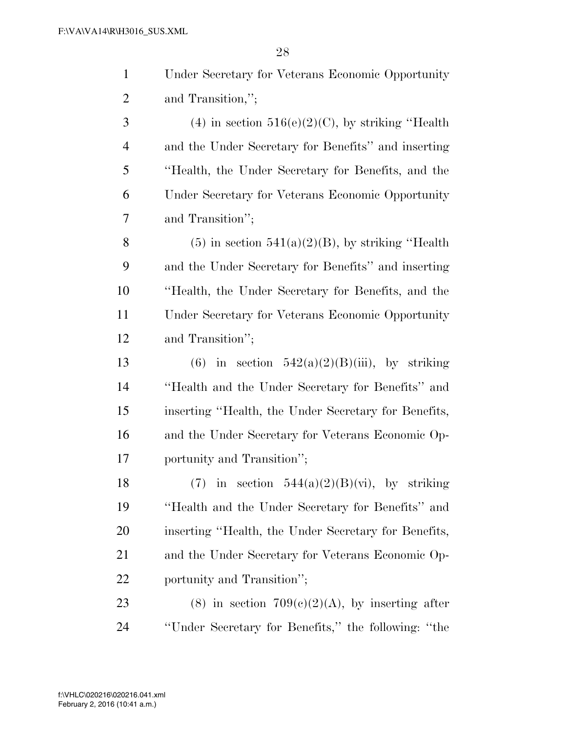| $\mathbf{1}$   | Under Secretary for Veterans Economic Opportunity    |
|----------------|------------------------------------------------------|
| $\overline{2}$ | and Transition,";                                    |
| 3              | (4) in section $516(e)(2)(C)$ , by striking "Health" |
| $\overline{4}$ | and the Under Secretary for Benefits" and inserting  |
| 5              | "Health, the Under Secretary for Benefits, and the   |
| 6              | Under Secretary for Veterans Economic Opportunity    |
| 7              | and Transition";                                     |
| 8              | $(5)$ in section 541(a)(2)(B), by striking "Health"  |
| 9              | and the Under Secretary for Benefits" and inserting  |
| 10             | "Health, the Under Secretary for Benefits, and the   |
| 11             | Under Secretary for Veterans Economic Opportunity    |
| 12             | and Transition";                                     |

13 (6) in section  $542(a)(2)(B)(iii)$ , by striking ''Health and the Under Secretary for Benefits'' and inserting ''Health, the Under Secretary for Benefits, and the Under Secretary for Veterans Economic Op-portunity and Transition'';

18 (7) in section  $544(a)(2)(B)(vi)$ , by striking ''Health and the Under Secretary for Benefits'' and inserting ''Health, the Under Secretary for Benefits, and the Under Secretary for Veterans Economic Op-portunity and Transition'';

23 (8) in section  $709(c)(2)(A)$ , by inserting after ''Under Secretary for Benefits,'' the following: ''the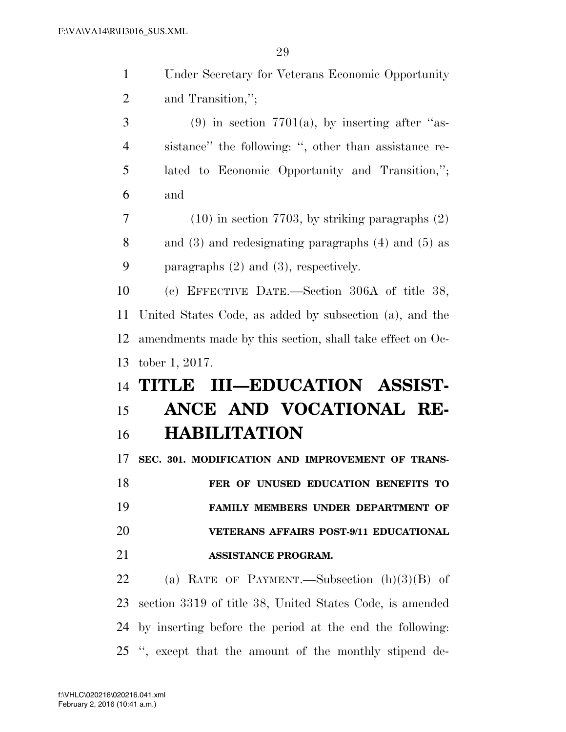| $\mathbf{1}$   | Under Secretary for Veterans Economic Opportunity         |
|----------------|-----------------------------------------------------------|
| $\overline{2}$ | and Transition,";                                         |
| 3              | $(9)$ in section 7701(a), by inserting after "as-         |
| $\overline{4}$ | sistance" the following: ", other than assistance re-     |
| 5              | lated to Economic Opportunity and Transition,";           |
| 6              | and                                                       |
| 7              | $(10)$ in section 7703, by striking paragraphs $(2)$      |
| 8              | and $(3)$ and redesignating paragraphs $(4)$ and $(5)$ as |
| 9              | paragraphs $(2)$ and $(3)$ , respectively.                |
| 10             | (c) EFFECTIVE DATE.—Section 306A of title 38,             |
| 11             | United States Code, as added by subsection (a), and the   |
| 12             | amendments made by this section, shall take effect on Oc- |
|                |                                                           |
| 13             | tober 1, 2017.                                            |
| 14             | TITLE III-EDUCATION ASSIST-                               |
| 15             | ANCE AND VOCATIONAL RE-                                   |
| 16             | <b>HABILITATION</b>                                       |
| 17             | SEC. 301. MODIFICATION AND IMPROVEMENT OF TRANS-          |
| 18             | FER OF UNUSED EDUCATION BENEFITS TO                       |
| 19             | FAMILY MEMBERS UNDER DEPARTMENT OF                        |
| 20             | VETERANS AFFAIRS POST-9/11 EDUCATIONAL                    |
| 21             | ASSISTANCE PROGRAM.                                       |
| 22             | (a) RATE OF PAYMENT.—Subsection $(h)(3)(B)$ of            |
| 23             | section 3319 of title 38, United States Code, is amended  |
| 24             | by inserting before the period at the end the following:  |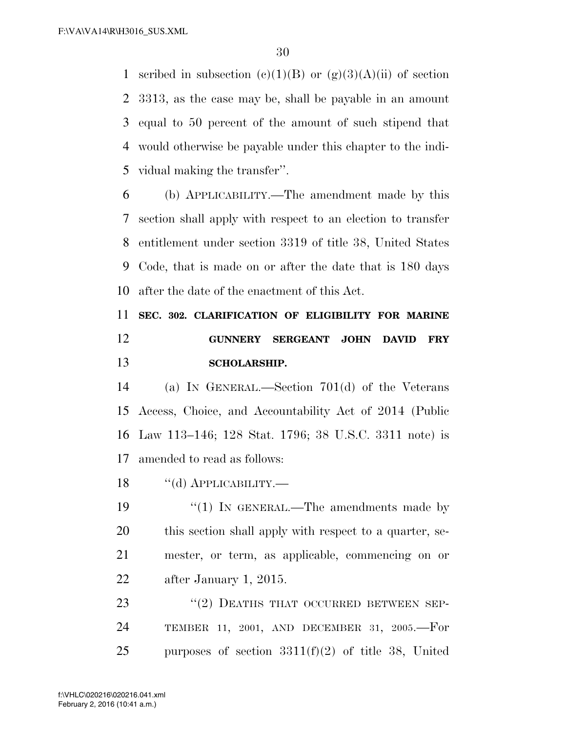1 scribed in subsection (c)(1)(B) or  $(g)(3)(A)(ii)$  of section 3313, as the case may be, shall be payable in an amount equal to 50 percent of the amount of such stipend that would otherwise be payable under this chapter to the indi-vidual making the transfer''.

 (b) APPLICABILITY.—The amendment made by this section shall apply with respect to an election to transfer entitlement under section 3319 of title 38, United States Code, that is made on or after the date that is 180 days after the date of the enactment of this Act.

# **SEC. 302. CLARIFICATION OF ELIGIBILITY FOR MARINE GUNNERY SERGEANT JOHN DAVID FRY SCHOLARSHIP.**

 (a) IN GENERAL.—Section 701(d) of the Veterans Access, Choice, and Accountability Act of 2014 (Public Law 113–146; 128 Stat. 1796; 38 U.S.C. 3311 note) is amended to read as follows:

18 "(d) APPLICABILITY.—

 $\frac{1}{2}$  (1) In GENERAL.—The amendments made by 20 this section shall apply with respect to a quarter, se- mester, or term, as applicable, commencing on or after January 1, 2015.

23 "(2) DEATHS THAT OCCURRED BETWEEN SEP- TEMBER 11, 2001, AND DECEMBER 31, 2005.—For purposes of section 3311(f)(2) of title 38, United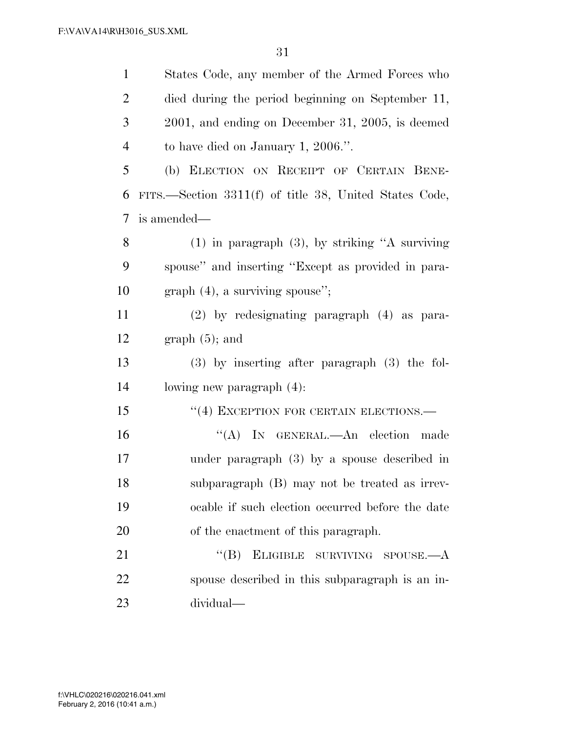| $\mathbf{1}$   | States Code, any member of the Armed Forces who        |
|----------------|--------------------------------------------------------|
| $\overline{2}$ | died during the period beginning on September 11,      |
| 3              | $2001$ , and ending on December 31, 2005, is deemed    |
| $\overline{4}$ | to have died on January 1, 2006.".                     |
| 5              | (b) ELECTION ON RECEIPT OF CERTAIN BENE-               |
| 6              | FITS.—Section 3311(f) of title 38, United States Code, |
| $\tau$         | is amended—                                            |
| 8              | $(1)$ in paragraph $(3)$ , by striking "A surviving    |
| 9              | spouse" and inserting "Except as provided in para-     |
| 10             | graph $(4)$ , a surviving spouse";                     |
| 11             | $(2)$ by redesignating paragraph $(4)$ as para-        |
| 12             | $graph(5)$ ; and                                       |
| 13             | $(3)$ by inserting after paragraph $(3)$ the fol-      |
| 14             | lowing new paragraph (4):                              |
| 15             | $``(4)$ EXCEPTION FOR CERTAIN ELECTIONS.—              |
| 16             | "(A) IN GENERAL.—An election made                      |
| 17             | under paragraph $(3)$ by a spouse described in         |
| 18             | subparagraph (B) may not be treated as irrev-          |
| 19             | ocable if such election occurred before the date       |
| 20             | of the enactment of this paragraph.                    |
| 21             | ELIGIBLE SURVIVING SPOUSE.—A<br>$\lq\lq (B)$           |
| 22             | spouse described in this subparagraph is an in-        |
| 23             | dividual—                                              |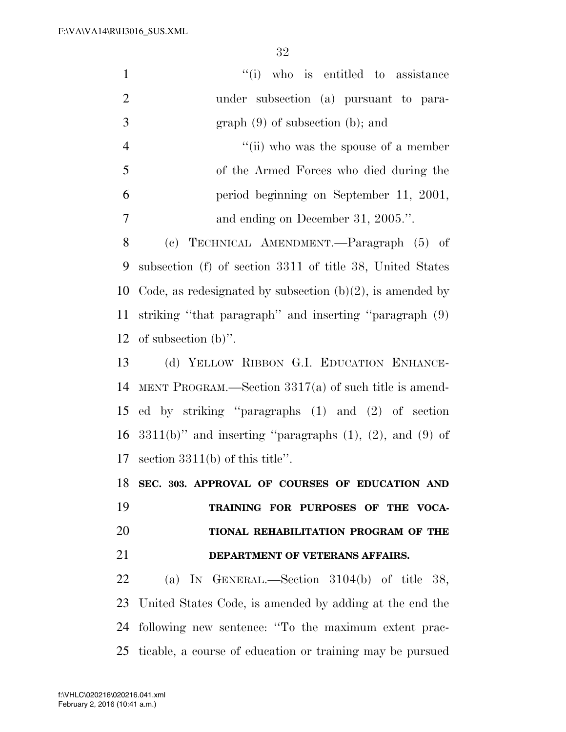| $\mathbf{1}$   | "(i) who is entitled to assistance                                 |
|----------------|--------------------------------------------------------------------|
| $\overline{2}$ | under subsection (a) pursuant to para-                             |
| 3              | $graph(9)$ of subsection (b); and                                  |
| $\overline{4}$ | "(ii) who was the spouse of a member                               |
| 5              | of the Armed Forces who died during the                            |
| 6              | period beginning on September 11, 2001,                            |
| 7              | and ending on December 31, 2005.".                                 |
| 8              | (c) TECHNICAL AMENDMENT.—Paragraph (5) of                          |
| 9              | subsection (f) of section 3311 of title 38, United States          |
| 10             | Code, as redesignated by subsection $(b)(2)$ , is amended by       |
| 11             | striking "that paragraph" and inserting "paragraph (9)             |
| 12             | of subsection $(b)$ ".                                             |
| 13             | (d) YELLOW RIBBON G.I. EDUCATION ENHANCE-                          |
| 14             | MENT PROGRAM.—Section $3317(a)$ of such title is amend-            |
| 15             | ed by striking "paragraphs (1) and (2) of section                  |
| 16             | $3311(b)$ " and inserting "paragraphs $(1)$ , $(2)$ , and $(9)$ of |
| 17             | section $3311(b)$ of this title".                                  |
|                | 18 SEC. 303. APPROVAL OF COURSES OF EDUCATION AND                  |
| 19             | TRAINING FOR PURPOSES OF THE VOCA-                                 |
| 20             | TIONAL REHABILITATION PROGRAM OF THE                               |
| 21             | DEPARTMENT OF VETERANS AFFAIRS.                                    |
| 22             | (a) IN GENERAL.—Section $3104(b)$ of title 38,                     |
| 23             | United States Code, is amended by adding at the end the            |
| 24             | following new sentence: "To the maximum extent prac-               |
| 25             | ticable, a course of education or training may be pursued          |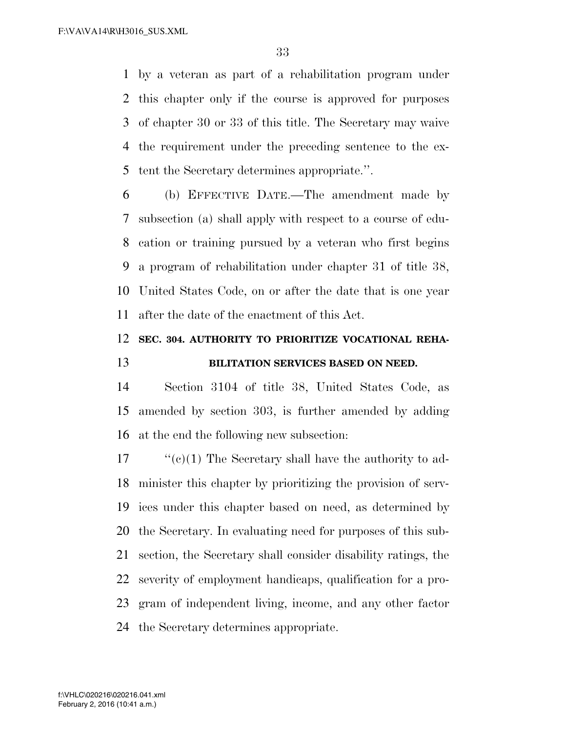by a veteran as part of a rehabilitation program under this chapter only if the course is approved for purposes of chapter 30 or 33 of this title. The Secretary may waive the requirement under the preceding sentence to the ex-tent the Secretary determines appropriate.''.

 (b) EFFECTIVE DATE.—The amendment made by subsection (a) shall apply with respect to a course of edu- cation or training pursued by a veteran who first begins a program of rehabilitation under chapter 31 of title 38, United States Code, on or after the date that is one year after the date of the enactment of this Act.

### **SEC. 304. AUTHORITY TO PRIORITIZE VOCATIONAL REHA-BILITATION SERVICES BASED ON NEED.**

 Section 3104 of title 38, United States Code, as amended by section 303, is further amended by adding at the end the following new subsection:

 $\lq($ c $)(1)$  The Secretary shall have the authority to ad- minister this chapter by prioritizing the provision of serv- ices under this chapter based on need, as determined by the Secretary. In evaluating need for purposes of this sub- section, the Secretary shall consider disability ratings, the severity of employment handicaps, qualification for a pro- gram of independent living, income, and any other factor the Secretary determines appropriate.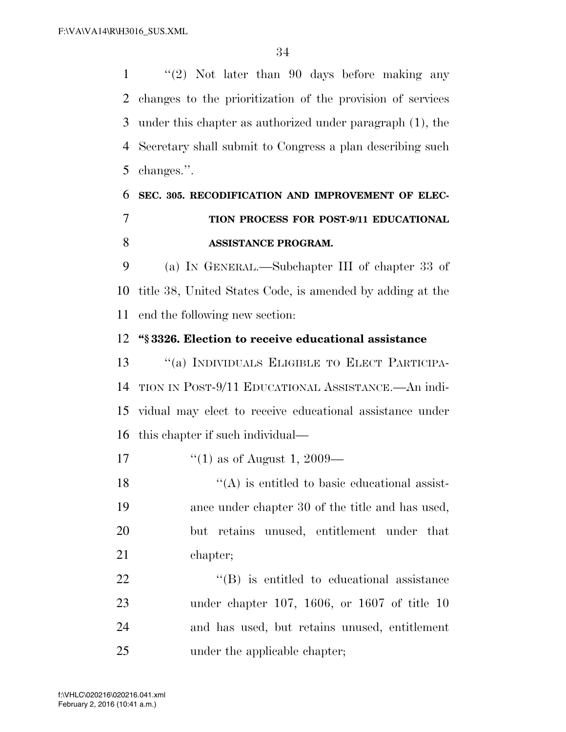''(2) Not later than 90 days before making any changes to the prioritization of the provision of services under this chapter as authorized under paragraph (1), the Secretary shall submit to Congress a plan describing such changes.''.

# **SEC. 305. RECODIFICATION AND IMPROVEMENT OF ELEC- TION PROCESS FOR POST-9/11 EDUCATIONAL ASSISTANCE PROGRAM.**

 (a) IN GENERAL.—Subchapter III of chapter 33 of title 38, United States Code, is amended by adding at the end the following new section:

### **''§ 3326. Election to receive educational assistance**

 ''(a) INDIVIDUALS ELIGIBLE TO ELECT PARTICIPA- TION IN POST-9/11 EDUCATIONAL ASSISTANCE.—An indi- vidual may elect to receive educational assistance under this chapter if such individual—

17  $\frac{1}{2}$  (1) as of August 1, 2009—

 $\mathcal{L}(\mathbf{A})$  is entitled to basic educational assist- ance under chapter 30 of the title and has used, but retains unused, entitlement under that chapter;

 $\text{``(B)}$  is entitled to educational assistance under chapter 107, 1606, or 1607 of title 10 and has used, but retains unused, entitlement under the applicable chapter;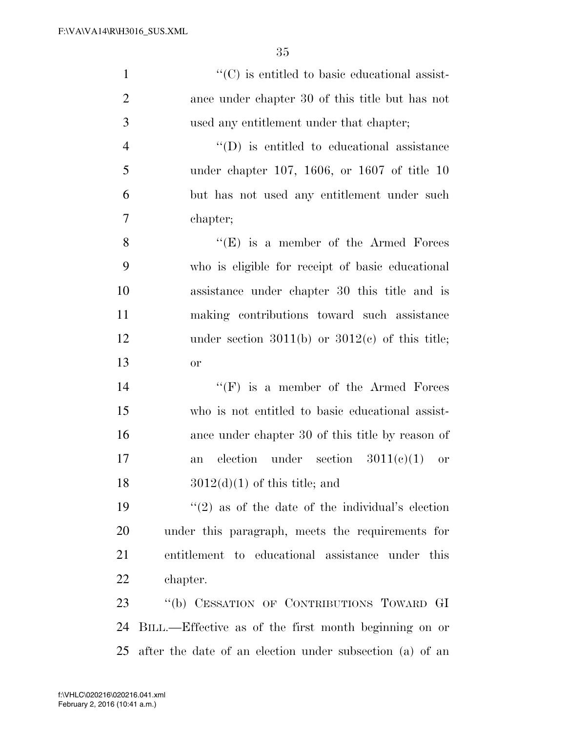| $\mathbf{1}$   | $\lq\lq$ (C) is entitled to basic educational assist-    |
|----------------|----------------------------------------------------------|
| $\overline{2}$ | ance under chapter 30 of this title but has not          |
| 3              | used any entitlement under that chapter;                 |
| $\overline{4}$ | $\lq\lq$ (D) is entitled to educational assistance       |
| 5              | under chapter 107, 1606, or 1607 of title $10$           |
| 6              | but has not used any entitlement under such              |
| $\tau$         | chapter;                                                 |
| 8              | $\lq\lq(E)$ is a member of the Armed Forces              |
| 9              | who is eligible for receipt of basic educational         |
| 10             | assistance under chapter 30 this title and is            |
| 11             | making contributions toward such assistance              |
| 12             | under section 3011(b) or $3012(c)$ of this title;        |
| 13             | or                                                       |
| 14             | $\lq\lq(F)$ is a member of the Armed Forces              |
| 15             | who is not entitled to basic educational assist-         |
| 16             | ance under chapter 30 of this title by reason of         |
| 17             | election under section $3011(e)(1)$<br><b>or</b><br>an   |
| 18             | $3012(d)(1)$ of this title; and                          |
| 19             | $\lq(2)$ as of the date of the individual's election     |
| 20             | under this paragraph, meets the requirements for         |
| 21             | entitlement to educational assistance under this         |
| 22             | chapter.                                                 |
| 23             | "(b) CESSATION OF CONTRIBUTIONS TOWARD GI                |
| 24             | BILL.—Effective as of the first month beginning on or    |
| 25             | after the date of an election under subsection (a) of an |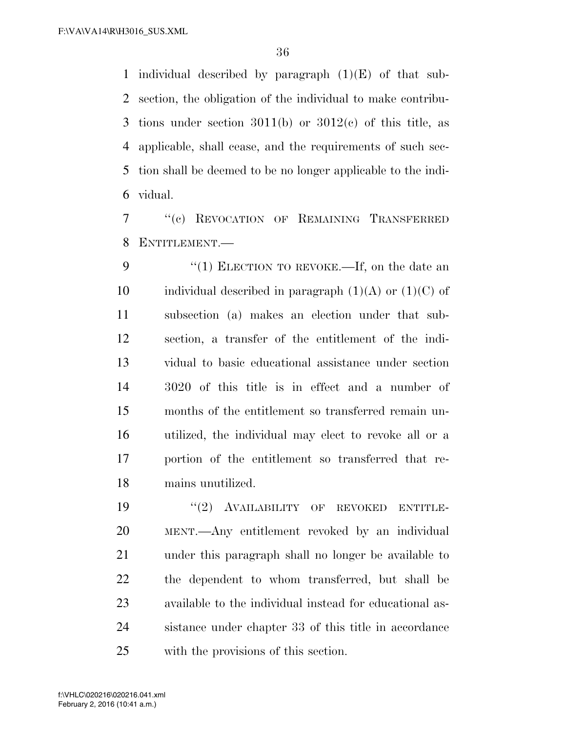1 individual described by paragraph  $(1)(E)$  of that sub- section, the obligation of the individual to make contribu-3 tions under section  $3011(b)$  or  $3012(c)$  of this title, as applicable, shall cease, and the requirements of such sec- tion shall be deemed to be no longer applicable to the indi-vidual.

 ''(c) REVOCATION OF REMAINING TRANSFERRED ENTITLEMENT.—

9 "(1) ELECTION TO REVOKE.—If, on the date an 10 individual described in paragraph  $(1)(A)$  or  $(1)(C)$  of subsection (a) makes an election under that sub- section, a transfer of the entitlement of the indi- vidual to basic educational assistance under section 3020 of this title is in effect and a number of months of the entitlement so transferred remain un- utilized, the individual may elect to revoke all or a portion of the entitlement so transferred that re-mains unutilized.

19 "(2) AVAILABILITY OF REVOKED ENTITLE- MENT.—Any entitlement revoked by an individual under this paragraph shall no longer be available to the dependent to whom transferred, but shall be available to the individual instead for educational as- sistance under chapter 33 of this title in accordance with the provisions of this section.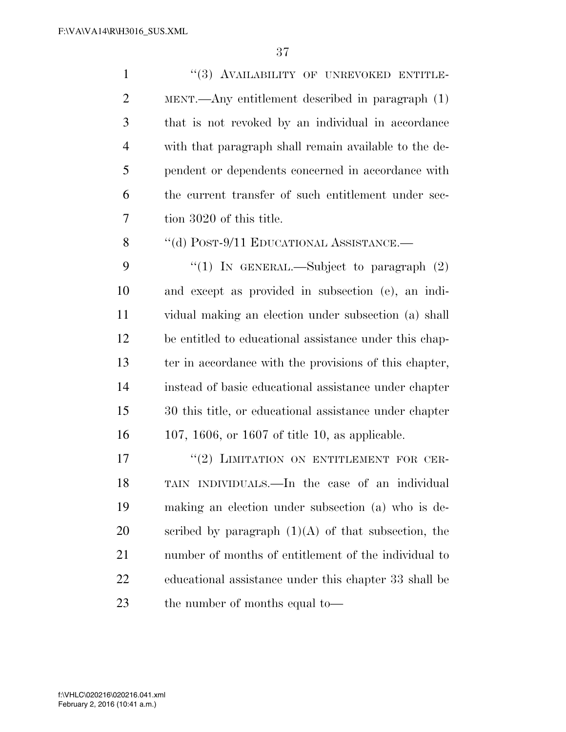''(3) AVAILABILITY OF UNREVOKED ENTITLE- MENT.—Any entitlement described in paragraph (1) that is not revoked by an individual in accordance with that paragraph shall remain available to the de- pendent or dependents concerned in accordance with the current transfer of such entitlement under sec-tion 3020 of this title.

8 "(d) POST-9/11 EDUCATIONAL ASSISTANCE.—

 $\frac{4}{1}$  In GENERAL.—Subject to paragraph  $(2)$  and except as provided in subsection (e), an indi- vidual making an election under subsection (a) shall be entitled to educational assistance under this chap- ter in accordance with the provisions of this chapter, instead of basic educational assistance under chapter 30 this title, or educational assistance under chapter 107, 1606, or 1607 of title 10, as applicable.

17 <sup>''</sup>(2) LIMITATION ON ENTITLEMENT FOR CER- TAIN INDIVIDUALS.—In the case of an individual making an election under subsection (a) who is de-20 scribed by paragraph  $(1)(A)$  of that subsection, the number of months of entitlement of the individual to educational assistance under this chapter 33 shall be the number of months equal to—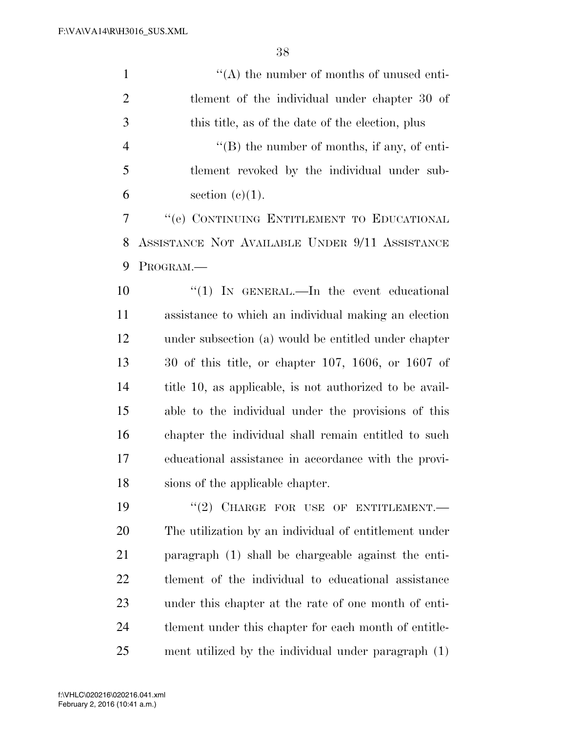| $\mathbf{1}$   | $\lq\lq$ the number of months of unused enti-           |
|----------------|---------------------------------------------------------|
| $\overline{2}$ | tlement of the individual under chapter 30 of           |
| 3              | this title, as of the date of the election, plus        |
| $\overline{4}$ | $\lq\lq (B)$ the number of months, if any, of enti-     |
| 5              | tlement revoked by the individual under sub-            |
| 6              | section $(c)(1)$ .                                      |
| 7              | "(e) CONTINUING ENTITLEMENT TO EDUCATIONAL              |
| 8              | ASSISTANCE NOT AVAILABLE UNDER 9/11 ASSISTANCE          |
| 9              | PROGRAM.                                                |
| 10             | "(1) IN GENERAL.—In the event educational               |
| 11             | assistance to which an individual making an election    |
| 12             | under subsection (a) would be entitled under chapter    |
| 13             | $30$ of this title, or chapter 107, 1606, or 1607 of    |
| 14             | title 10, as applicable, is not authorized to be avail- |
| 15             | able to the individual under the provisions of this     |
| 16             | chapter the individual shall remain entitled to such    |
| 17             | educational assistance in accordance with the provi-    |
| 18             | sions of the applicable chapter.                        |
| 19             | "(2) CHARGE FOR USE OF ENTITLEMENT.                     |
| 20             | The utilization by an individual of entitlement under   |
| 21             | paragraph (1) shall be chargeable against the enti-     |
| 22             | tlement of the individual to educational assistance     |
| 23             | under this chapter at the rate of one month of enti-    |
| 24             | tlement under this chapter for each month of entitle-   |
| 25             | ment utilized by the individual under paragraph (1)     |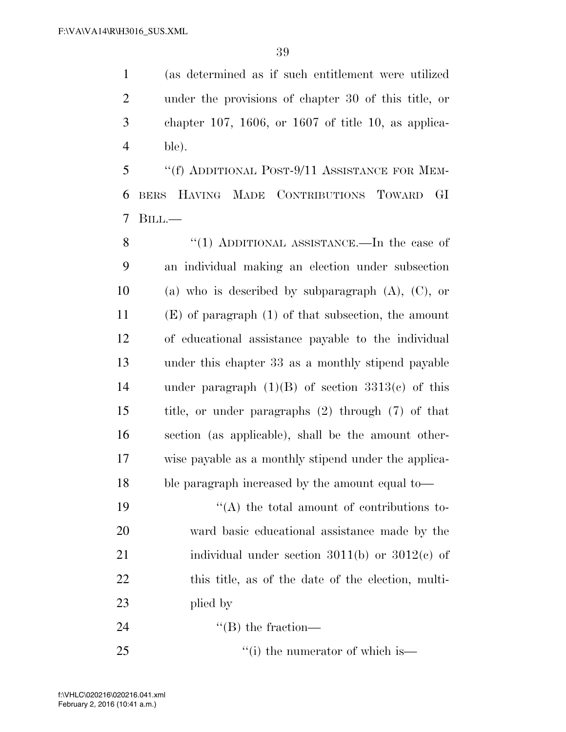(as determined as if such entitlement were utilized under the provisions of chapter 30 of this title, or chapter 107, 1606, or 1607 of title 10, as applica-ble).

 ''(f) ADDITIONAL POST-9/11 ASSISTANCE FOR MEM- BERS HAVING MADE CONTRIBUTIONS TOWARD GI BILL.—

8 "(1) ADDITIONAL ASSISTANCE.—In the case of an individual making an election under subsection 10 (a) who is described by subparagraph  $(A)$ ,  $(C)$ , or (E) of paragraph (1) of that subsection, the amount of educational assistance payable to the individual under this chapter 33 as a monthly stipend payable under paragraph (1)(B) of section 3313(c) of this title, or under paragraphs (2) through (7) of that section (as applicable), shall be the amount other- wise payable as a monthly stipend under the applica-ble paragraph increased by the amount equal to—

 $((A)$  the total amount of contributions to- ward basic educational assistance made by the 21 individual under section 3011(b) or 3012(c) of this title, as of the date of the election, multi-plied by

24 ''(B) the fraction—

25  $\frac{1}{25}$  ''(i) the numerator of which is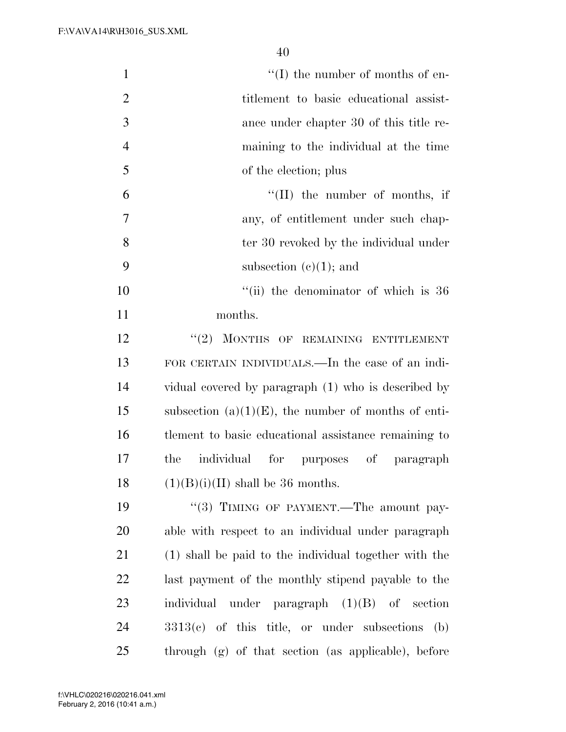$\lq(1)$  the number of months of en- titlement to basic educational assist- ance under chapter 30 of this title re- maining to the individual at the time of the election; plus

 $^4$ (II) the number of months, if any, of entitlement under such chap- ter 30 revoked by the individual under 9 subsection  $(e)(1)$ ; and

10  $\frac{1}{10}$  the denominator of which is 36 months.

12 "(2) MONTHS OF REMAINING ENTITLEMENT FOR CERTAIN INDIVIDUALS.—In the case of an indi- vidual covered by paragraph (1) who is described by 15 subsection  $(a)(1)(E)$ , the number of months of enti- tlement to basic educational assistance remaining to the individual for purposes of paragraph  $(1)(B)(i)(II)$  shall be 36 months.

19 "(3) TIMING OF PAYMENT.—The amount pay- able with respect to an individual under paragraph (1) shall be paid to the individual together with the last payment of the monthly stipend payable to the individual under paragraph (1)(B) of section 3313(c) of this title, or under subsections (b) through (g) of that section (as applicable), before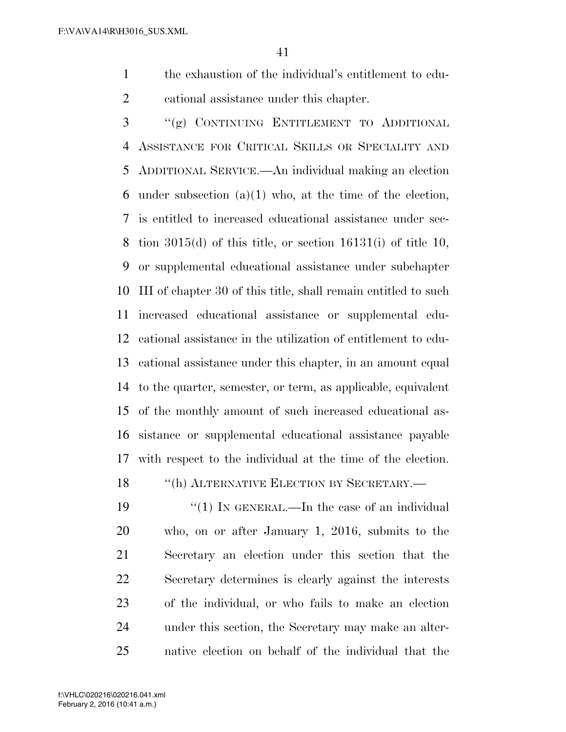the exhaustion of the individual's entitlement to edu-cational assistance under this chapter.

 ''(g) CONTINUING ENTITLEMENT TO ADDITIONAL ASSISTANCE FOR CRITICAL SKILLS OR SPECIALITY AND ADDITIONAL SERVICE.—An individual making an election 6 under subsection  $(a)(1)$  who, at the time of the election, is entitled to increased educational assistance under sec- tion 3015(d) of this title, or section 16131(i) of title 10, or supplemental educational assistance under subchapter III of chapter 30 of this title, shall remain entitled to such increased educational assistance or supplemental edu- cational assistance in the utilization of entitlement to edu- cational assistance under this chapter, in an amount equal to the quarter, semester, or term, as applicable, equivalent of the monthly amount of such increased educational as- sistance or supplemental educational assistance payable with respect to the individual at the time of the election.

18 "(h) ALTERNATIVE ELECTION BY SECRETARY.—

 $\frac{1}{2}$  (1) In GENERAL.—In the case of an individual who, on or after January 1, 2016, submits to the Secretary an election under this section that the Secretary determines is clearly against the interests of the individual, or who fails to make an election under this section, the Secretary may make an alter-native election on behalf of the individual that the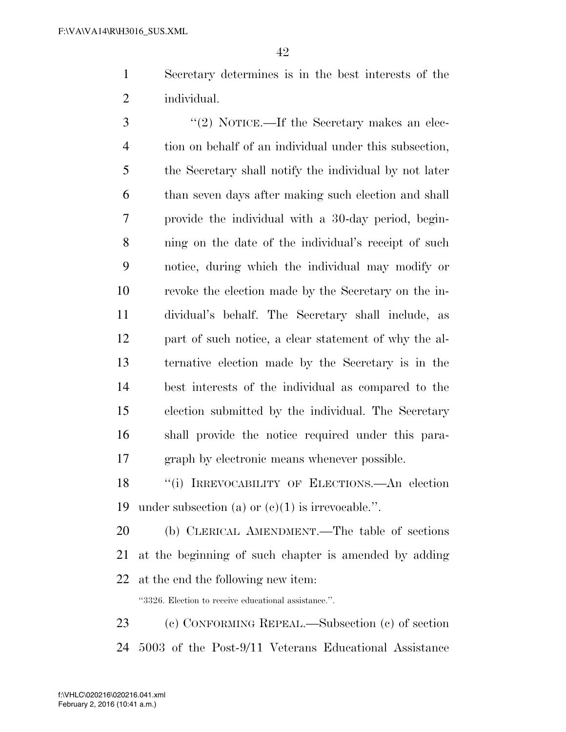Secretary determines is in the best interests of the individual.

3 "(2) NOTICE.—If the Secretary makes an elec- tion on behalf of an individual under this subsection, the Secretary shall notify the individual by not later than seven days after making such election and shall provide the individual with a 30-day period, begin- ning on the date of the individual's receipt of such notice, during which the individual may modify or revoke the election made by the Secretary on the in- dividual's behalf. The Secretary shall include, as part of such notice, a clear statement of why the al- ternative election made by the Secretary is in the best interests of the individual as compared to the election submitted by the individual. The Secretary shall provide the notice required under this para-graph by electronic means whenever possible.

 ''(i) IRREVOCABILITY OF ELECTIONS.—An election 19 under subsection (a) or  $(c)(1)$  is irrevocable.".

 (b) CLERICAL AMENDMENT.—The table of sections at the beginning of such chapter is amended by adding at the end the following new item:

''3326. Election to receive educational assistance.''.

 (c) CONFORMING REPEAL.—Subsection (c) of section 5003 of the Post-9/11 Veterans Educational Assistance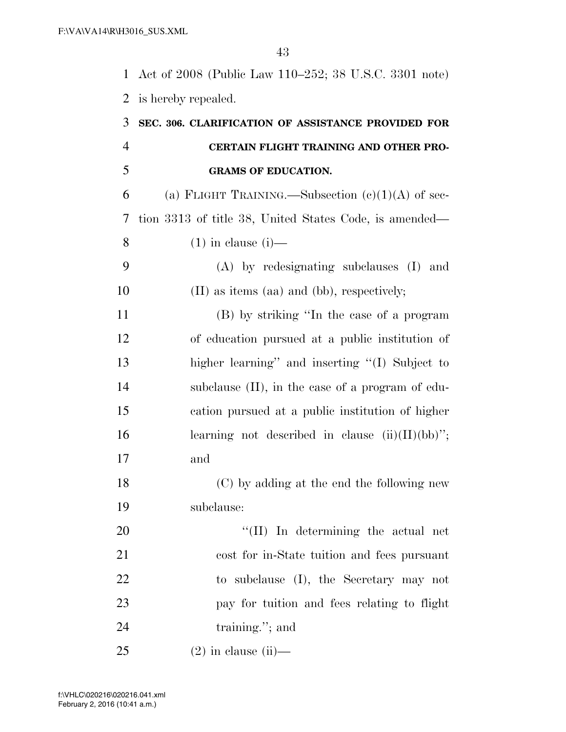Act of 2008 (Public Law 110–252; 38 U.S.C. 3301 note) is hereby repealed.

| 3              | SEC. 306. CLARIFICATION OF ASSISTANCE PROVIDED FOR     |
|----------------|--------------------------------------------------------|
| $\overline{4}$ | CERTAIN FLIGHT TRAINING AND OTHER PRO-                 |
| 5              | <b>GRAMS OF EDUCATION.</b>                             |
| 6              | (a) FLIGHT TRAINING.—Subsection $(e)(1)(A)$ of sec-    |
| 7              | tion 3313 of title 38, United States Code, is amended— |
| 8              | $(1)$ in clause $(i)$ —                                |
| 9              | (A) by redesignating subclauses (I) and                |
| 10             | (II) as items (aa) and (bb), respectively;             |
| 11             | (B) by striking "In the case of a program              |
| 12             | of education pursued at a public institution of        |
| 13             | higher learning" and inserting "(I) Subject to         |
| 14             | subclause $(II)$ , in the case of a program of edu-    |
| 15             | cation pursued at a public institution of higher       |
| 16             | learning not described in clause $(ii)(II)(bb)$ ";     |
| 17             | and                                                    |
| 18             | (C) by adding at the end the following new             |
| 19             | subclause:                                             |
| 20             | "(II) In determining the actual net                    |
| 21             | cost for in-State tuition and fees pursuant            |
| 22             | to subclause (I), the Secretary may not                |
| 23             | pay for tuition and fees relating to flight            |
| 24             | training."; and                                        |
| 25             | $(2)$ in clause (ii)—                                  |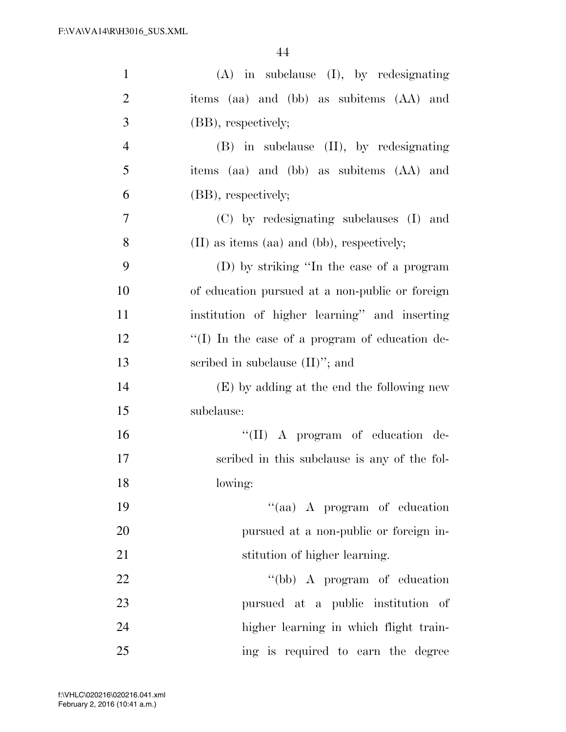| $\mathbf{1}$   | $(A)$ in subclause $(I)$ , by redesignating     |
|----------------|-------------------------------------------------|
| $\overline{2}$ | items (aa) and (bb) as subitems (AA) and        |
| 3              | (BB), respectively;                             |
| $\overline{4}$ | $(B)$ in subclause $(II)$ , by redesignating    |
| 5              | items (aa) and (bb) as subitems (AA) and        |
| 6              | (BB), respectively;                             |
| $\tau$         | (C) by redesignating subclauses (I) and         |
| 8              | (II) as items (aa) and (bb), respectively;      |
| 9              | (D) by striking "In the case of a program       |
| 10             | of education pursued at a non-public or foreign |
| 11             | institution of higher learning" and inserting   |
| 12             | "(I) In the case of a program of education de-  |
| 13             | scribed in subclause $(II)$ "; and              |
| 14             | (E) by adding at the end the following new      |
| 15             | subclause:                                      |
| 16             | "(II) A program of education de-                |
| 17             | scribed in this subclause is any of the fol-    |
| 18             | lowing:                                         |
| 19             | "(aa) A program of education                    |
| 20             | pursued at a non-public or foreign in-          |
| 21             | stitution of higher learning.                   |
| 22             | "(bb) A program of education                    |
| 23             | pursued at a public institution of              |
| 24             | higher learning in which flight train-          |
| 25             | ing is required to earn the degree              |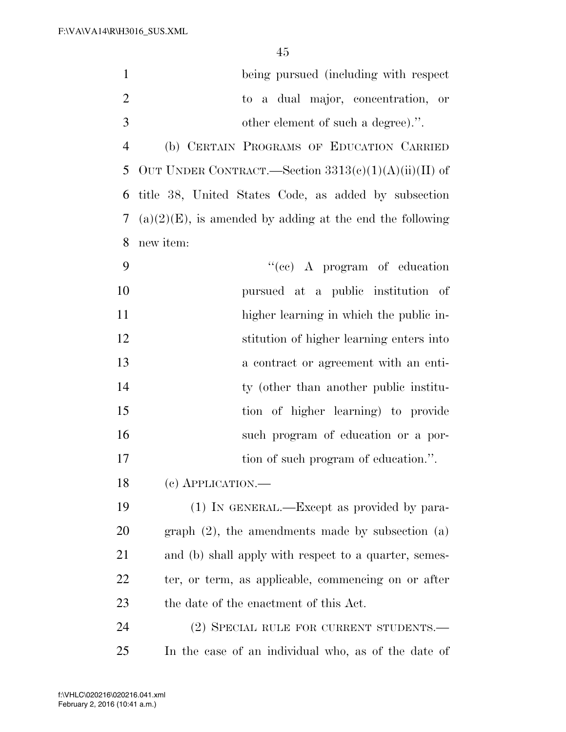| $\mathbf{1}$   | being pursued (including with respect                       |
|----------------|-------------------------------------------------------------|
| $\overline{2}$ | to a dual major, concentration, or                          |
| 3              | other element of such a degree).".                          |
| $\overline{4}$ | (b) CERTAIN PROGRAMS OF EDUCATION CARRIED                   |
| 5              | OUT UNDER CONTRACT.—Section $3313(e)(1)(A)(ii)(II)$ of      |
| 6              | title 38, United States Code, as added by subsection        |
| 7              | $(a)(2)(E)$ , is amended by adding at the end the following |
| 8              | new item:                                                   |
| 9              | "(cc) A program of education                                |
| 10             | pursued at a public institution of                          |
| 11             | higher learning in which the public in-                     |
| 12             | stitution of higher learning enters into                    |
| 13             | a contract or agreement with an enti-                       |
| 14             | ty (other than another public institu-                      |
| 15             | tion of higher learning) to provide                         |
| 16             | such program of education or a por-                         |
| 17             | tion of such program of education.".                        |
| 18             | $(e)$ APPLICATION.—                                         |
| 19             | (1) IN GENERAL.—Except as provided by para-                 |
| 20             | graph $(2)$ , the amendments made by subsection $(a)$       |
| 21             | and (b) shall apply with respect to a quarter, semes-       |
| 22             | ter, or term, as applicable, commencing on or after         |
| 23             | the date of the enactment of this Act.                      |
| 24             | (2) SPECIAL RULE FOR CURRENT STUDENTS.—                     |
| 25             | In the case of an individual who, as of the date of         |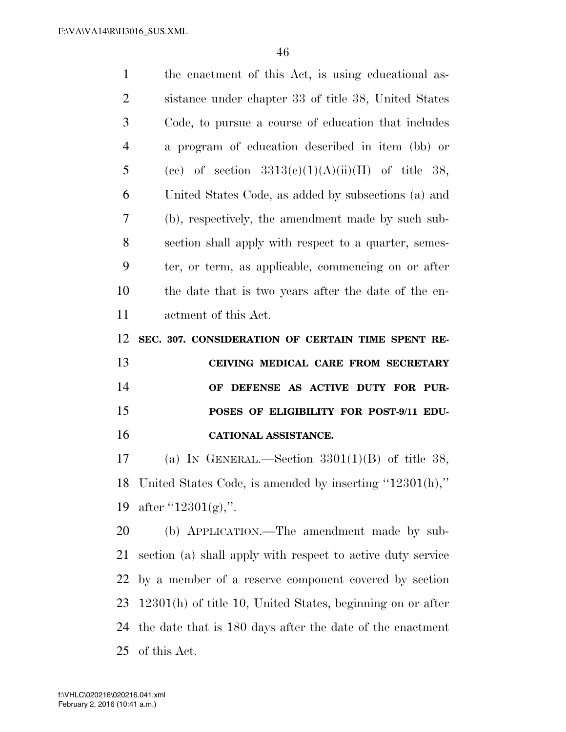the enactment of this Act, is using educational as- sistance under chapter 33 of title 38, United States Code, to pursue a course of education that includes a program of education described in item (bb) or 5 (cc) of section  $3313(c)(1)(A)(ii)(II)$  of title 38, United States Code, as added by subsections (a) and (b), respectively, the amendment made by such sub- section shall apply with respect to a quarter, semes- ter, or term, as applicable, commencing on or after the date that is two years after the date of the en- actment of this Act. **SEC. 307. CONSIDERATION OF CERTAIN TIME SPENT RE- CEIVING MEDICAL CARE FROM SECRETARY OF DEFENSE AS ACTIVE DUTY FOR PUR- POSES OF ELIGIBILITY FOR POST-9/11 EDU- CATIONAL ASSISTANCE.**  17 (a) IN GENERAL.—Section  $3301(1)(B)$  of title 38, United States Code, is amended by inserting ''12301(h),'' after ''12301(g),''. (b) APPLICATION.—The amendment made by sub- section (a) shall apply with respect to active duty service by a member of a reserve component covered by section 12301(h) of title 10, United States, beginning on or after

 the date that is 180 days after the date of the enactment of this Act.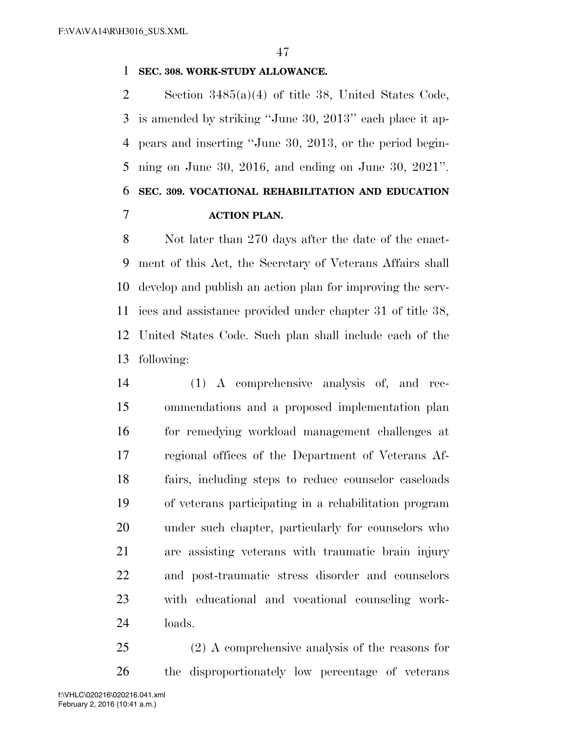### **SEC. 308. WORK-STUDY ALLOWANCE.**

 Section 3485(a)(4) of title 38, United States Code, is amended by striking ''June 30, 2013'' each place it ap- pears and inserting ''June 30, 2013, or the period begin- ning on June 30, 2016, and ending on June 30, 2021''. **SEC. 309. VOCATIONAL REHABILITATION AND EDUCATION ACTION PLAN.** 

 Not later than 270 days after the date of the enact- ment of this Act, the Secretary of Veterans Affairs shall develop and publish an action plan for improving the serv- ices and assistance provided under chapter 31 of title 38, United States Code. Such plan shall include each of the following:

 (1) A comprehensive analysis of, and rec- ommendations and a proposed implementation plan for remedying workload management challenges at regional offices of the Department of Veterans Af- fairs, including steps to reduce counselor caseloads of veterans participating in a rehabilitation program under such chapter, particularly for counselors who are assisting veterans with traumatic brain injury and post-traumatic stress disorder and counselors with educational and vocational counseling work-loads.

 (2) A comprehensive analysis of the reasons for the disproportionately low percentage of veterans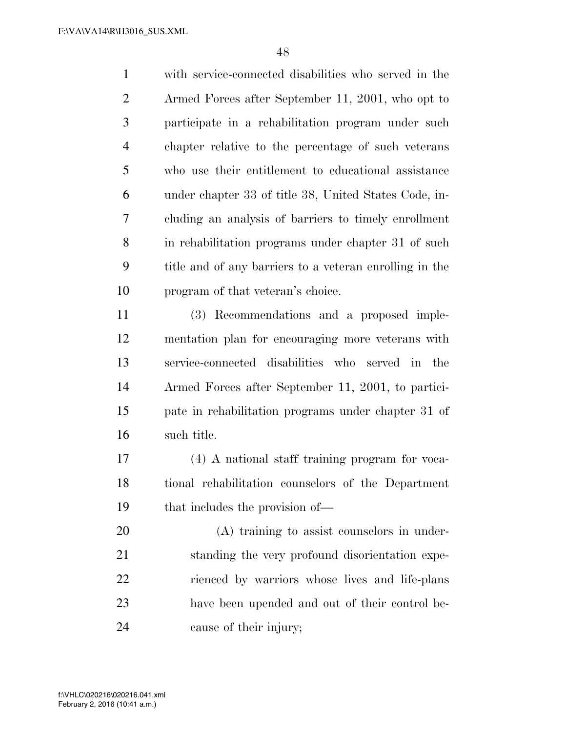with service-connected disabilities who served in the Armed Forces after September 11, 2001, who opt to participate in a rehabilitation program under such chapter relative to the percentage of such veterans who use their entitlement to educational assistance under chapter 33 of title 38, United States Code, in- cluding an analysis of barriers to timely enrollment in rehabilitation programs under chapter 31 of such title and of any barriers to a veteran enrolling in the program of that veteran's choice.

 (3) Recommendations and a proposed imple- mentation plan for encouraging more veterans with service-connected disabilities who served in the Armed Forces after September 11, 2001, to partici- pate in rehabilitation programs under chapter 31 of such title.

 (4) A national staff training program for voca- tional rehabilitation counselors of the Department that includes the provision of—

 (A) training to assist counselors in under- standing the very profound disorientation expe- rienced by warriors whose lives and life-plans have been upended and out of their control be-cause of their injury;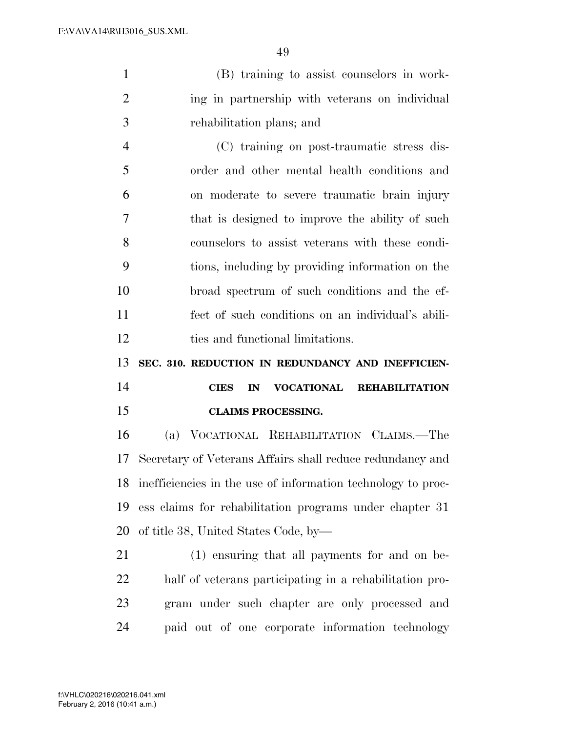(B) training to assist counselors in work-2 ing in partnership with veterans on individual rehabilitation plans; and

 (C) training on post-traumatic stress dis- order and other mental health conditions and on moderate to severe traumatic brain injury that is designed to improve the ability of such counselors to assist veterans with these condi- tions, including by providing information on the broad spectrum of such conditions and the ef- fect of such conditions on an individual's abili-ties and functional limitations.

**SEC. 310. REDUCTION IN REDUNDANCY AND INEFFICIEN-**

## **CIES IN VOCATIONAL REHABILITATION CLAIMS PROCESSING.**

 (a) VOCATIONAL REHABILITATION CLAIMS.—The Secretary of Veterans Affairs shall reduce redundancy and inefficiencies in the use of information technology to proc- ess claims for rehabilitation programs under chapter 31 of title 38, United States Code, by—

 (1) ensuring that all payments for and on be- half of veterans participating in a rehabilitation pro- gram under such chapter are only processed and paid out of one corporate information technology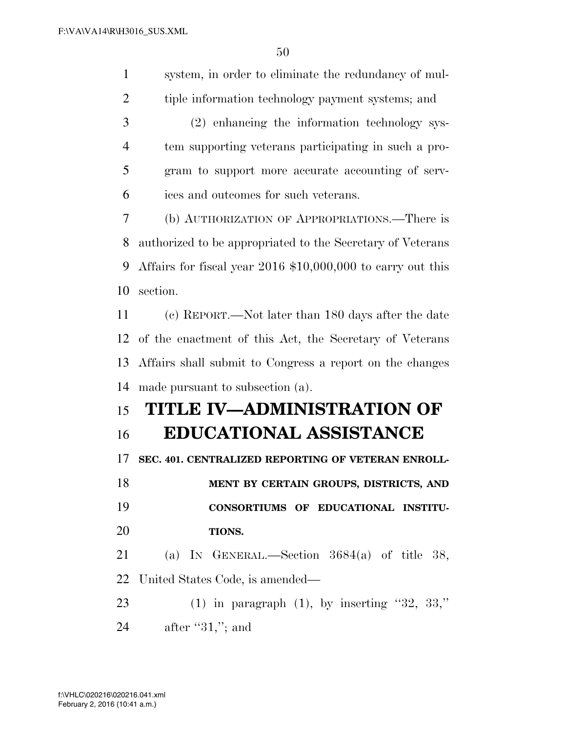system, in order to eliminate the redundancy of mul- tiple information technology payment systems; and (2) enhancing the information technology sys- tem supporting veterans participating in such a pro- gram to support more accurate accounting of serv- ices and outcomes for such veterans. (b) AUTHORIZATION OF APPROPRIATIONS.—There is authorized to be appropriated to the Secretary of Veterans Affairs for fiscal year 2016 \$10,000,000 to carry out this section. (c) REPORT.—Not later than 180 days after the date of the enactment of this Act, the Secretary of Veterans Affairs shall submit to Congress a report on the changes made pursuant to subsection (a). **TITLE IV—ADMINISTRATION OF EDUCATIONAL ASSISTANCE SEC. 401. CENTRALIZED REPORTING OF VETERAN ENROLL- MENT BY CERTAIN GROUPS, DISTRICTS, AND CONSORTIUMS OF EDUCATIONAL INSTITU- TIONS.**  (a) IN GENERAL.—Section 3684(a) of title 38, United States Code, is amended—

23 (1) in paragraph  $(1)$ , by inserting "32, 33," 24 after "31,"; and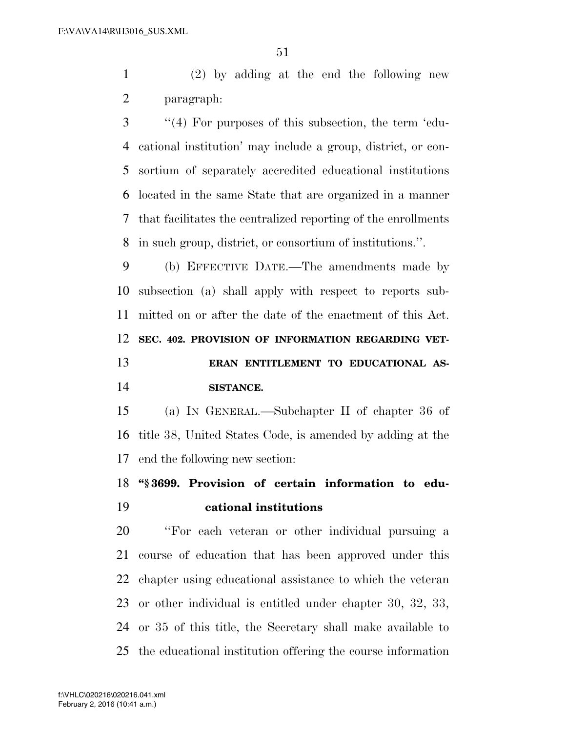(2) by adding at the end the following new paragraph:

 ''(4) For purposes of this subsection, the term 'edu- cational institution' may include a group, district, or con- sortium of separately accredited educational institutions located in the same State that are organized in a manner that facilitates the centralized reporting of the enrollments in such group, district, or consortium of institutions.''.

 (b) EFFECTIVE DATE.—The amendments made by subsection (a) shall apply with respect to reports sub- mitted on or after the date of the enactment of this Act. **SEC. 402. PROVISION OF INFORMATION REGARDING VET- ERAN ENTITLEMENT TO EDUCATIONAL AS-SISTANCE.** 

 (a) IN GENERAL.—Subchapter II of chapter 36 of title 38, United States Code, is amended by adding at the end the following new section:

# **''§ 3699. Provision of certain information to edu-cational institutions**

 ''For each veteran or other individual pursuing a course of education that has been approved under this chapter using educational assistance to which the veteran or other individual is entitled under chapter 30, 32, 33, or 35 of this title, the Secretary shall make available to the educational institution offering the course information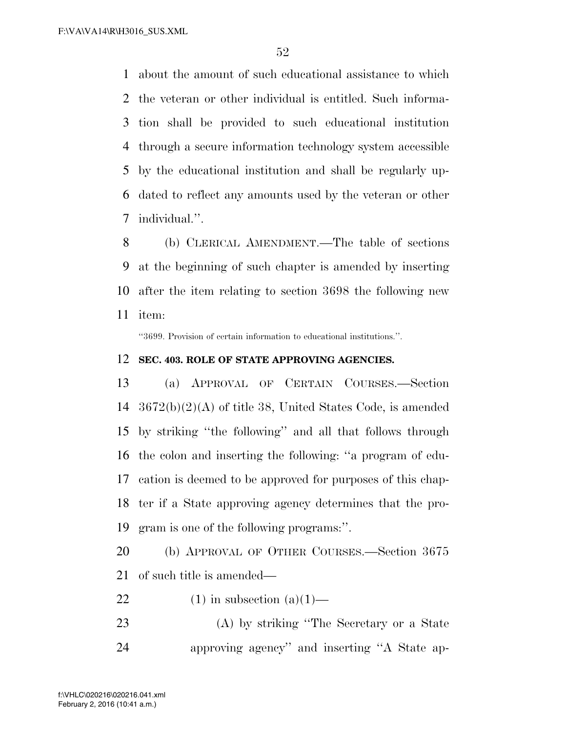about the amount of such educational assistance to which the veteran or other individual is entitled. Such informa- tion shall be provided to such educational institution through a secure information technology system accessible by the educational institution and shall be regularly up- dated to reflect any amounts used by the veteran or other individual.''.

 (b) CLERICAL AMENDMENT.—The table of sections at the beginning of such chapter is amended by inserting after the item relating to section 3698 the following new item:

''3699. Provision of certain information to educational institutions.''.

#### **SEC. 403. ROLE OF STATE APPROVING AGENCIES.**

 (a) APPROVAL OF CERTAIN COURSES.—Section 3672(b)(2)(A) of title 38, United States Code, is amended by striking ''the following'' and all that follows through the colon and inserting the following: ''a program of edu- cation is deemed to be approved for purposes of this chap- ter if a State approving agency determines that the pro-gram is one of the following programs:''.

 (b) APPROVAL OF OTHER COURSES.—Section 3675 of such title is amended—

22 (1) in subsection  $(a)(1)$ —

 (A) by striking ''The Secretary or a State approving agency'' and inserting ''A State ap-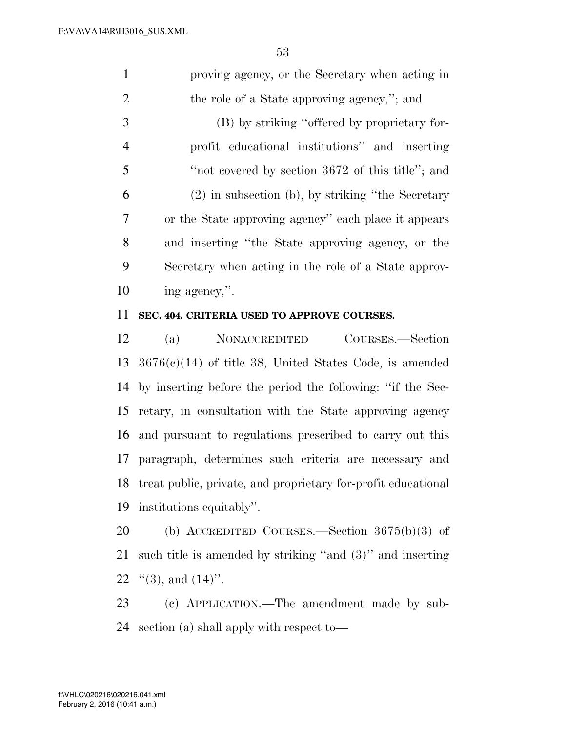proving agency, or the Secretary when acting in 2 the role of a State approving agency,"; and (B) by striking ''offered by proprietary for-

 profit educational institutions'' and inserting ''not covered by section 3672 of this title''; and (2) in subsection (b), by striking ''the Secretary or the State approving agency'' each place it appears and inserting ''the State approving agency, or the Secretary when acting in the role of a State approv-ing agency,''.

#### **SEC. 404. CRITERIA USED TO APPROVE COURSES.**

 (a) NONACCREDITED COURSES.—Section 3676(c)(14) of title 38, United States Code, is amended by inserting before the period the following: ''if the Sec- retary, in consultation with the State approving agency and pursuant to regulations prescribed to carry out this paragraph, determines such criteria are necessary and treat public, private, and proprietary for-profit educational institutions equitably''.

 (b) ACCREDITED COURSES.—Section 3675(b)(3) of such title is amended by striking ''and (3)'' and inserting 22  $\lq(3)$ , and  $(14)$ ".

 (c) APPLICATION.—The amendment made by sub-section (a) shall apply with respect to—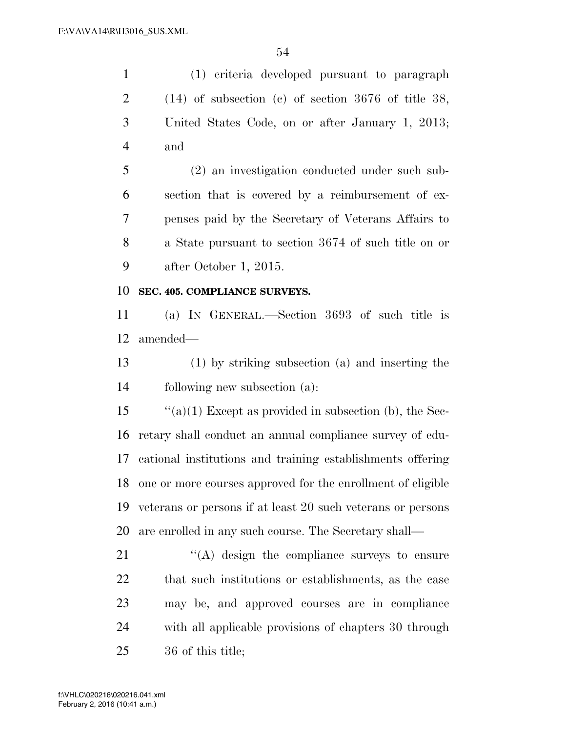| $\mathbf{1}$   | (1) criteria developed pursuant to paragraph                |
|----------------|-------------------------------------------------------------|
| $\overline{2}$ | $(14)$ of subsection (c) of section 3676 of title 38,       |
| 3              | United States Code, on or after January 1, 2013;            |
| $\overline{4}$ | and                                                         |
| 5              | (2) an investigation conducted under such sub-              |
| 6              | section that is covered by a reimbursement of ex-           |
| 7              | penses paid by the Secretary of Veterans Affairs to         |
| 8              | a State pursuant to section 3674 of such title on or        |
| 9              | after October 1, 2015.                                      |
| 10             | SEC. 405. COMPLIANCE SURVEYS.                               |
| 11             | (a) IN GENERAL.—Section 3693 of such title is               |
| 12             | amended—                                                    |
| 13             | (1) by striking subsection (a) and inserting the            |
| 14             | following new subsection (a):                               |
| 15             | "(a)(1) Except as provided in subsection (b), the Sec-      |
| 16             | retary shall conduct an annual compliance survey of edu-    |
| 17             | cational institutions and training establishments offering  |
| 18             | one or more courses approved for the enrollment of eligible |
| 19             | veterans or persons if at least 20 such veterans or persons |
| 20             | are enrolled in any such course. The Secretary shall—       |
| 21             | "(A) design the compliance surveys to ensure                |
| 22             | that such institutions or establishments, as the case       |
| 23             | may be, and approved courses are in compliance              |
| 24             | with all applicable provisions of chapters 30 through       |
| 25             | 36 of this title;                                           |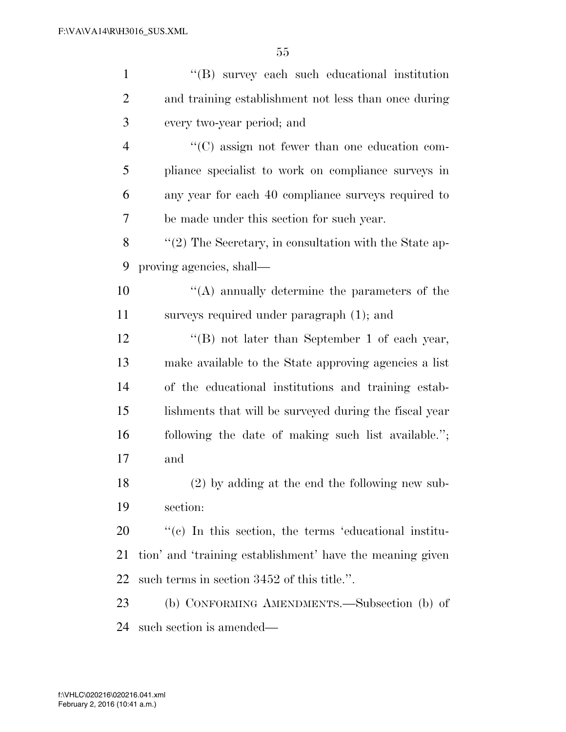| $\mathbf{1}$   | "(B) survey each such educational institution              |
|----------------|------------------------------------------------------------|
| $\overline{2}$ | and training establishment not less than once during       |
| 3              | every two-year period; and                                 |
| $\overline{4}$ | "(C) assign not fewer than one education com-              |
| 5              | pliance specialist to work on compliance surveys in        |
| 6              | any year for each 40 compliance surveys required to        |
| 7              | be made under this section for such year.                  |
| 8              | $\lq(2)$ The Secretary, in consultation with the State ap- |
| 9              | proving agencies, shall—                                   |
| 10             | $\lq\lq$ annually determine the parameters of the          |
| 11             | surveys required under paragraph (1); and                  |
| 12             | "(B) not later than September 1 of each year,              |
| 13             | make available to the State approving agencies a list      |
| 14             | of the educational institutions and training estab-        |
| 15             | lishments that will be surveyed during the fiscal year     |
| 16             | following the date of making such list available.";        |
| 17             | and                                                        |
| 18             | $(2)$ by adding at the end the following new sub-          |
| 19             | section:                                                   |
| 20             | "(c) In this section, the terms 'educational institu-      |
| 21             | tion' and 'training establishment' have the meaning given  |
| 22             | such terms in section 3452 of this title.".                |
| 23             | (b) CONFORMING AMENDMENTS.—Subsection (b) of               |
| 24             | such section is amended—                                   |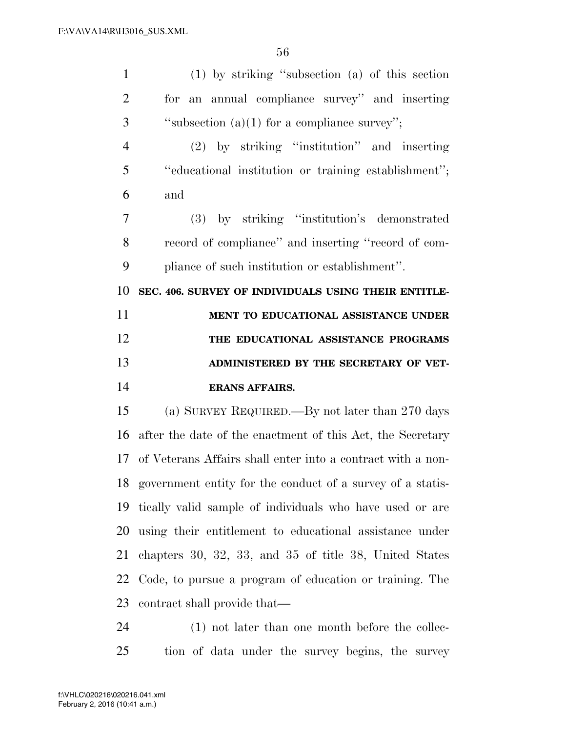| $\mathbf{1}$   | $(1)$ by striking "subsection (a) of this section           |
|----------------|-------------------------------------------------------------|
| $\overline{2}$ | an annual compliance survey" and inserting<br>for           |
| 3              | "subsection $(a)(1)$ for a compliance survey";              |
| $\overline{4}$ | (2) by striking "institution" and inserting                 |
| 5              | "educational institution or training establishment";        |
| 6              | and                                                         |
| 7              | (3) by striking "institution's demonstrated                 |
| 8              | record of compliance" and inserting "record of com-         |
| 9              | pliance of such institution or establishment".              |
| 10             | SEC. 406. SURVEY OF INDIVIDUALS USING THEIR ENTITLE-        |
|                |                                                             |
| 11             | MENT TO EDUCATIONAL ASSISTANCE UNDER                        |
| 12             | THE EDUCATIONAL ASSISTANCE PROGRAMS                         |
| 13             | ADMINISTERED BY THE SECRETARY OF VET-                       |
| 14             | <b>ERANS AFFAIRS.</b>                                       |
| 15             | (a) SURVEY REQUIRED.—By not later than 270 days             |
| 16             | after the date of the enactment of this Act, the Secretary  |
| 17             | of Veterans Affairs shall enter into a contract with a non- |
| 18             | government entity for the conduct of a survey of a statis-  |
| 19             | tically valid sample of individuals who have used or are    |

 chapters 30, 32, 33, and 35 of title 38, United States Code, to pursue a program of education or training. The contract shall provide that—

 (1) not later than one month before the collec-tion of data under the survey begins, the survey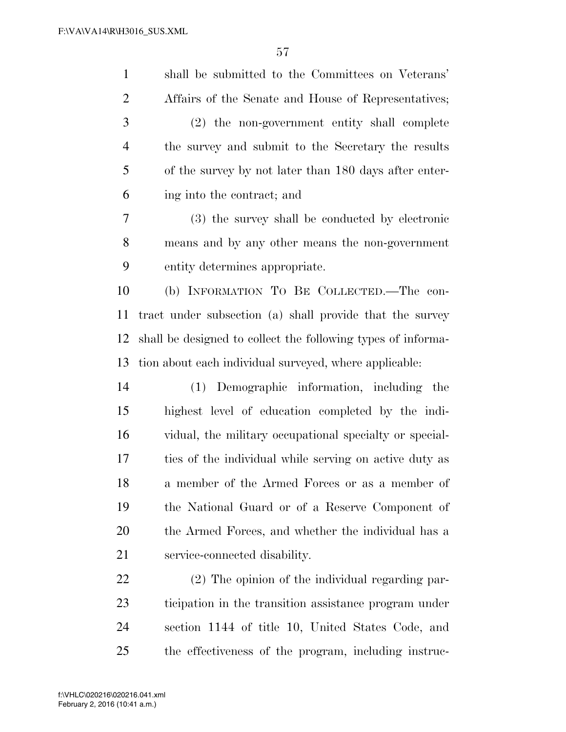| $\mathbf{1}$   | shall be submitted to the Committees on Veterans'            |
|----------------|--------------------------------------------------------------|
| $\overline{2}$ | Affairs of the Senate and House of Representatives;          |
| 3              | (2) the non-government entity shall complete                 |
| $\overline{4}$ | the survey and submit to the Secretary the results           |
| 5              | of the survey by not later than 180 days after enter-        |
| 6              | ing into the contract; and                                   |
| 7              | (3) the survey shall be conducted by electronic              |
| 8              | means and by any other means the non-government              |
| 9              | entity determines appropriate.                               |
| 10             | (b) INFORMATION TO BE COLLECTED.—The con-                    |
| 11             | tract under subsection (a) shall provide that the survey     |
| 12             | shall be designed to collect the following types of informa- |
| 13             | tion about each individual surveyed, where applicable:       |
| 14             | (1) Demographic information, including the                   |
| 15             | highest level of education completed by the indi-            |
| 16             | vidual, the military occupational specialty or special-      |
| 17             | ties of the individual while serving on active duty as       |
| 18             | a member of the Armed Forces or as a member of               |
| 19             | the National Guard or of a Reserve Component of              |
| 20             | the Armed Forces, and whether the individual has a           |
| 21             | service-connected disability.                                |
| 22             | (2) The opinion of the individual regarding par-             |
| 23             | ticipation in the transition assistance program under        |
| 24             | section 1144 of title 10, United States Code, and            |
| 25             | the effectiveness of the program, including instruc-         |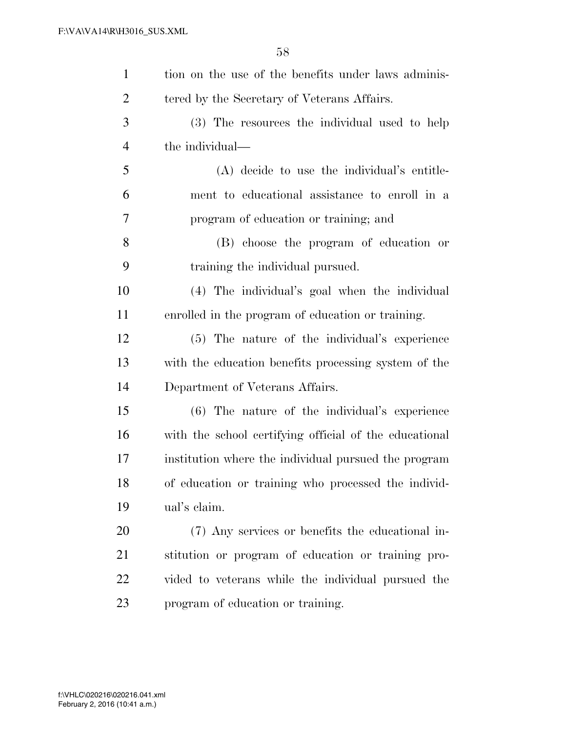| $\mathbf{1}$   | tion on the use of the benefits under laws adminis-    |
|----------------|--------------------------------------------------------|
| $\overline{2}$ | tered by the Secretary of Veterans Affairs.            |
| 3              | (3) The resources the individual used to help          |
| $\overline{4}$ | the individual—                                        |
| 5              | (A) decide to use the individual's entitle-            |
| 6              | ment to educational assistance to enroll in a          |
| 7              | program of education or training; and                  |
| 8              | (B) choose the program of education or                 |
| 9              | training the individual pursued.                       |
| 10             | (4) The individual's goal when the individual          |
| 11             | enrolled in the program of education or training.      |
| 12             | (5) The nature of the individual's experience          |
| 13             | with the education benefits processing system of the   |
| 14             | Department of Veterans Affairs.                        |
| 15             | (6) The nature of the individual's experience          |
| 16             | with the school certifying official of the educational |
| 17             | institution where the individual pursued the program   |
| 18             | of education or training who processed the individ-    |
| 19             | ual's claim.                                           |
| 20             | (7) Any services or benefits the educational in-       |
| 21             | stitution or program of education or training pro-     |
| 22             | vided to veterans while the individual pursued the     |
| 23             | program of education or training.                      |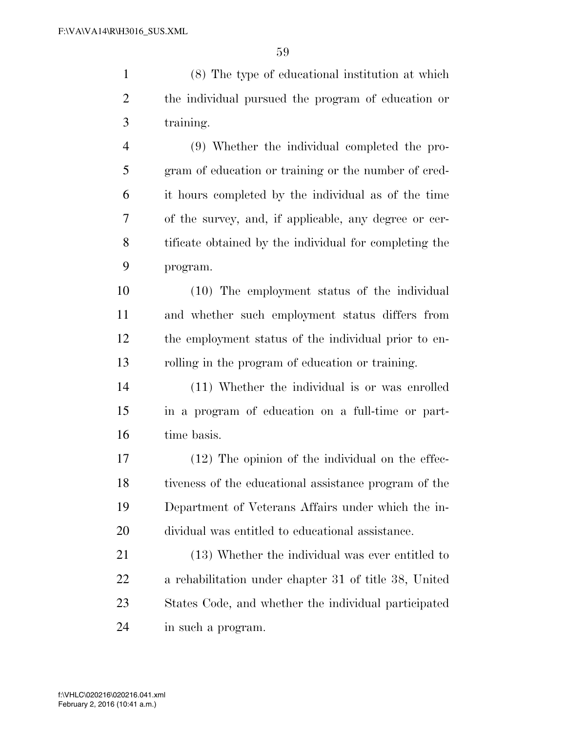(8) The type of educational institution at which the individual pursued the program of education or training.

 (9) Whether the individual completed the pro- gram of education or training or the number of cred- it hours completed by the individual as of the time of the survey, and, if applicable, any degree or cer- tificate obtained by the individual for completing the program.

 (10) The employment status of the individual and whether such employment status differs from the employment status of the individual prior to en-rolling in the program of education or training.

 (11) Whether the individual is or was enrolled in a program of education on a full-time or part-16 time basis.

 (12) The opinion of the individual on the effec- tiveness of the educational assistance program of the Department of Veterans Affairs under which the in-dividual was entitled to educational assistance.

 (13) Whether the individual was ever entitled to a rehabilitation under chapter 31 of title 38, United States Code, and whether the individual participated in such a program.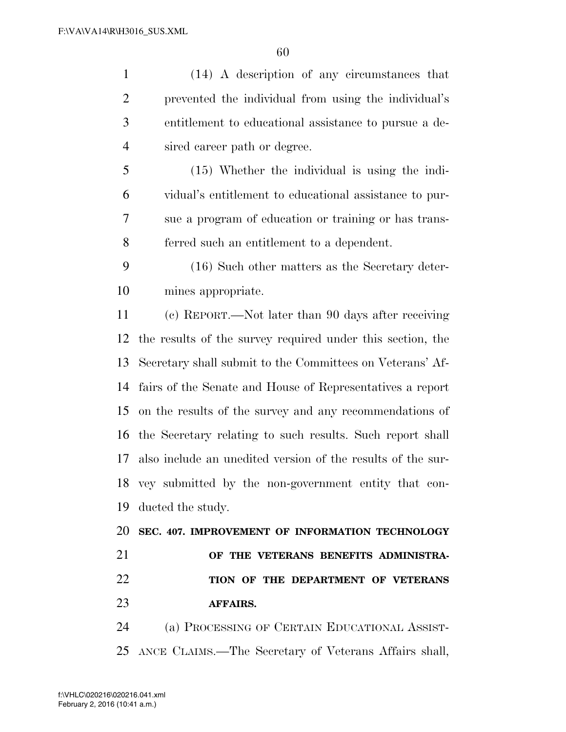(14) A description of any circumstances that prevented the individual from using the individual's entitlement to educational assistance to pursue a de- sired career path or degree. (15) Whether the individual is using the indi- vidual's entitlement to educational assistance to pur- sue a program of education or training or has trans- ferred such an entitlement to a dependent. (16) Such other matters as the Secretary deter- mines appropriate. (c) REPORT.—Not later than 90 days after receiving the results of the survey required under this section, the Secretary shall submit to the Committees on Veterans' Af- fairs of the Senate and House of Representatives a report on the results of the survey and any recommendations of the Secretary relating to such results. Such report shall also include an unedited version of the results of the sur- vey submitted by the non-government entity that con- ducted the study. **SEC. 407. IMPROVEMENT OF INFORMATION TECHNOLOGY OF THE VETERANS BENEFITS ADMINISTRA- TION OF THE DEPARTMENT OF VETERANS AFFAIRS.**  (a) PROCESSING OF CERTAIN EDUCATIONAL ASSIST-

ANCE CLAIMS.—The Secretary of Veterans Affairs shall,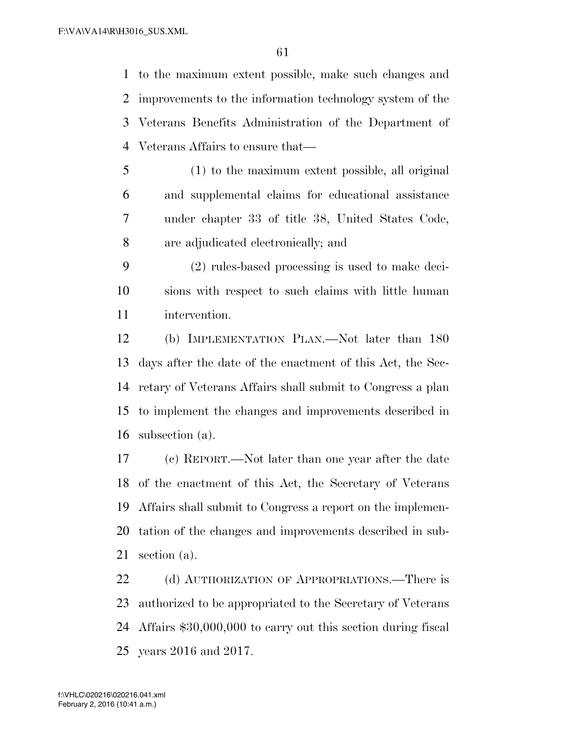to the maximum extent possible, make such changes and improvements to the information technology system of the Veterans Benefits Administration of the Department of Veterans Affairs to ensure that—

- (1) to the maximum extent possible, all original and supplemental claims for educational assistance under chapter 33 of title 38, United States Code, are adjudicated electronically; and
- (2) rules-based processing is used to make deci- sions with respect to such claims with little human intervention.

 (b) IMPLEMENTATION PLAN.—Not later than 180 days after the date of the enactment of this Act, the Sec- retary of Veterans Affairs shall submit to Congress a plan to implement the changes and improvements described in subsection (a).

 (c) REPORT.—Not later than one year after the date of the enactment of this Act, the Secretary of Veterans Affairs shall submit to Congress a report on the implemen- tation of the changes and improvements described in sub-section (a).

22 (d) AUTHORIZATION OF APPROPRIATIONS.—There is authorized to be appropriated to the Secretary of Veterans Affairs \$30,000,000 to carry out this section during fiscal years 2016 and 2017.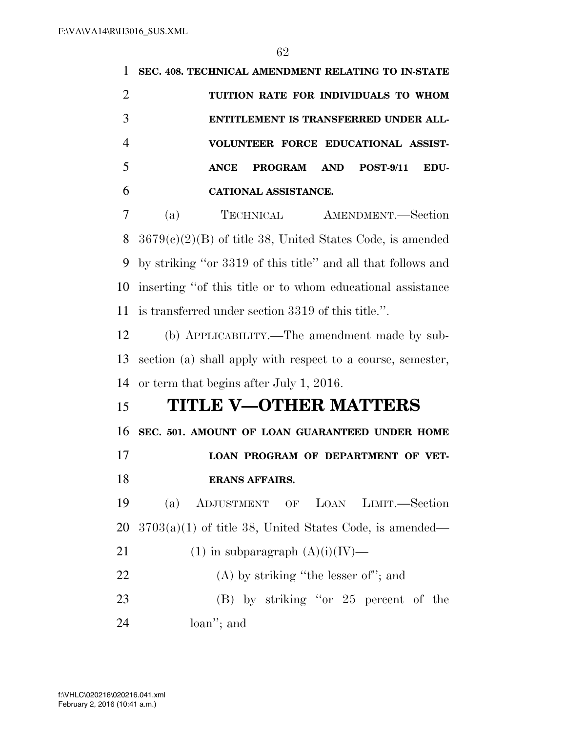**SEC. 408. TECHNICAL AMENDMENT RELATING TO IN-STATE TUITION RATE FOR INDIVIDUALS TO WHOM ENTITLEMENT IS TRANSFERRED UNDER ALL- VOLUNTEER FORCE EDUCATIONAL ASSIST- ANCE PROGRAM AND POST-9/11 EDU- CATIONAL ASSISTANCE.**  (a) TECHNICAL AMENDMENT.—Section 3679(c)(2)(B) of title 38, United States Code, is amended by striking ''or 3319 of this title'' and all that follows and inserting ''of this title or to whom educational assistance is transferred under section 3319 of this title.''. (b) APPLICABILITY.—The amendment made by sub- section (a) shall apply with respect to a course, semester, or term that begins after July 1, 2016. **TITLE V—OTHER MATTERS SEC. 501. AMOUNT OF LOAN GUARANTEED UNDER HOME LOAN PROGRAM OF DEPARTMENT OF VET- ERANS AFFAIRS.**  (a) ADJUSTMENT OF LOAN LIMIT.—Section  $3703(a)(1)$  of title 38, United States Code, is amended—

- 21 (1) in subparagraph  $(A)(i)(IV)$ —
- (A) by striking ''the lesser of''; and (B) by striking ''or 25 percent of the

loan''; and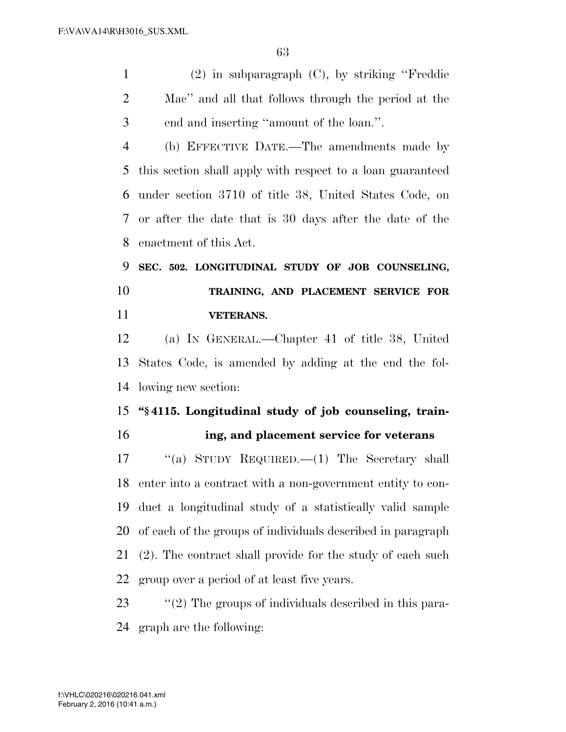(2) in subparagraph (C), by striking ''Freddie Mac'' and all that follows through the period at the end and inserting ''amount of the loan.''.

 (b) EFFECTIVE DATE.—The amendments made by this section shall apply with respect to a loan guaranteed under section 3710 of title 38, United States Code, on or after the date that is 30 days after the date of the enactment of this Act.

 **SEC. 502. LONGITUDINAL STUDY OF JOB COUNSELING, TRAINING, AND PLACEMENT SERVICE FOR VETERANS.** 

 (a) IN GENERAL.—Chapter 41 of title 38, United States Code, is amended by adding at the end the fol-lowing new section:

### **''§ 4115. Longitudinal study of job counseling, train-ing, and placement service for veterans**

 ''(a) STUDY REQUIRED.—(1) The Secretary shall enter into a contract with a non-government entity to con- duct a longitudinal study of a statistically valid sample of each of the groups of individuals described in paragraph (2). The contract shall provide for the study of each such group over a period of at least five years.

23  $\frac{1}{2}$  (2) The groups of individuals described in this para-graph are the following: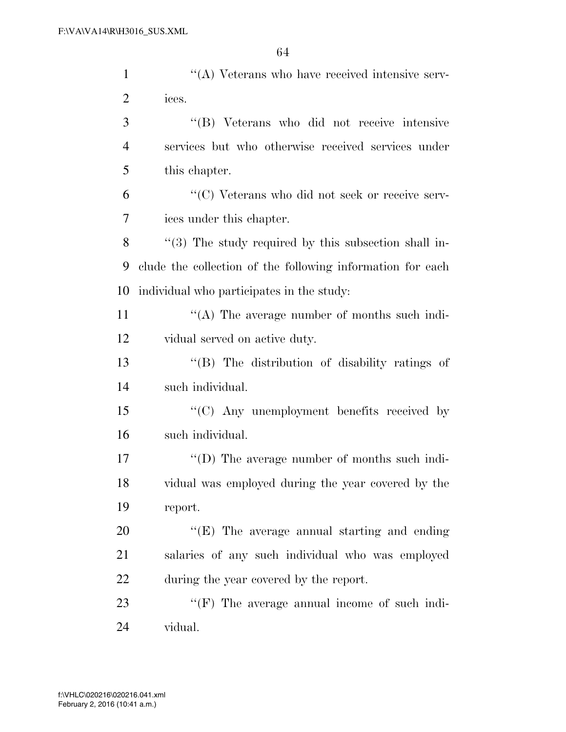| $\mathbf{1}$   | "(A) Veterans who have received intensive serv-            |
|----------------|------------------------------------------------------------|
| $\overline{2}$ | ices.                                                      |
| 3              | "(B) Veterans who did not receive intensive                |
| $\overline{4}$ | services but who otherwise received services under         |
| 5              | this chapter.                                              |
| 6              | "(C) Veterans who did not seek or receive serv-            |
| $\overline{7}$ | ices under this chapter.                                   |
| 8              | $\lq(3)$ The study required by this subsection shall in-   |
| 9              | clude the collection of the following information for each |
| 10             | individual who participates in the study:                  |
| 11             | "(A) The average number of months such indi-               |
| 12             | vidual served on active duty.                              |
| 13             | "(B) The distribution of disability ratings of             |
| 14             | such individual.                                           |
| 15             | "(C) Any unemployment benefits received by                 |
| 16             | such individual.                                           |
| 17             | "(D) The average number of months such indi-               |
| 18             | vidual was employed during the year covered by the         |
| 19             | report.                                                    |
| 20             | "(E) The average annual starting and ending                |
| 21             | salaries of any such individual who was employed           |
| 22             | during the year covered by the report.                     |
| 23             | $\lq\lq(F)$ The average annual income of such indi-        |
| 24             | vidual.                                                    |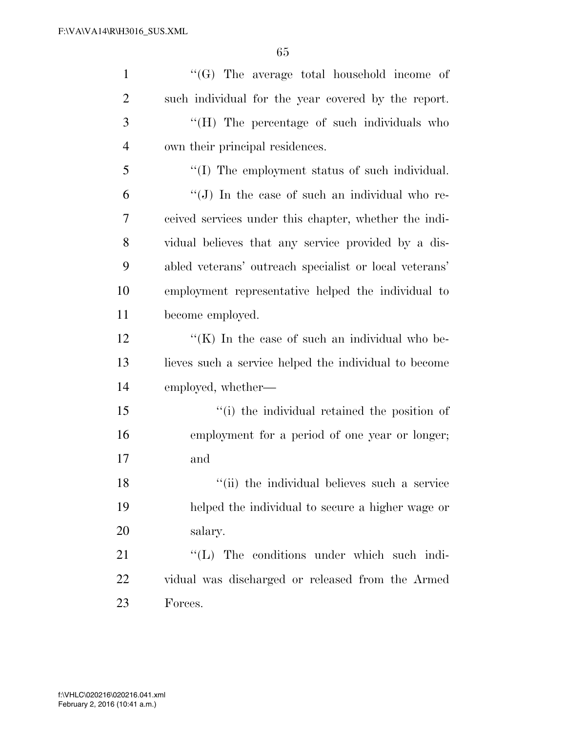| $\mathbf{1}$   | $\lq\lq(G)$ The average total household income of      |
|----------------|--------------------------------------------------------|
| $\overline{2}$ | such individual for the year covered by the report.    |
| 3              | "(H) The percentage of such individuals who            |
| $\overline{4}$ | own their principal residences.                        |
| 5              | "(I) The employment status of such individual.         |
| 6              | "(J) In the case of such an individual who re-         |
| 7              | ceived services under this chapter, whether the indi-  |
| 8              | vidual believes that any service provided by a dis-    |
| 9              | abled veterans' outreach specialist or local veterans' |
| 10             | employment representative helped the individual to     |
| 11             | become employed.                                       |
| 12             | "(K) In the case of such an individual who be-         |
| 13             | lieves such a service helped the individual to become  |
| 14             | employed, whether—                                     |
| 15             | "(i) the individual retained the position of           |
| 16             | employment for a period of one year or longer;         |
| 17             | and                                                    |
| 18             | "(ii) the individual believes such a service           |
| 19             | helped the individual to secure a higher wage or       |
| 20             | salary.                                                |
| 21             | "(L) The conditions under which such indi-             |
| 22             | vidual was discharged or released from the Armed       |
| 23             | Forces.                                                |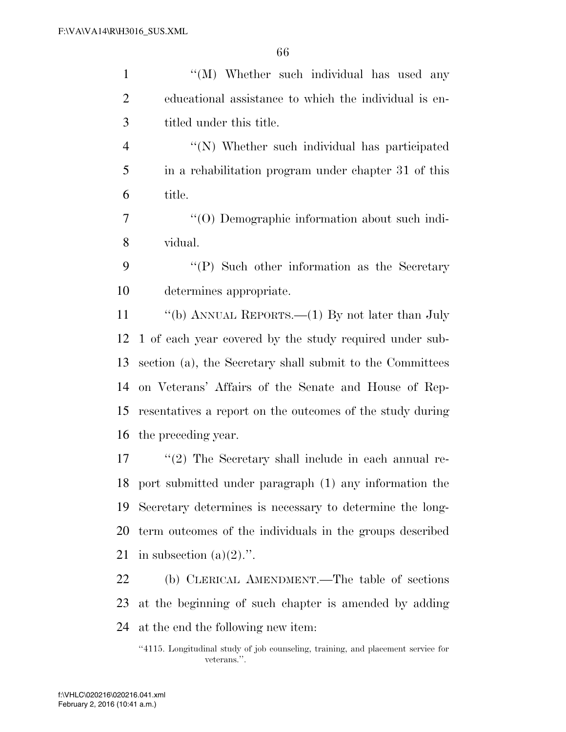| $\mathbf{1}$   | "(M) Whether such individual has used any                 |
|----------------|-----------------------------------------------------------|
| $\overline{2}$ | educational assistance to which the individual is en-     |
| 3              | titled under this title.                                  |
| $\overline{4}$ | "(N) Whether such individual has participated             |
| 5              | in a rehabilitation program under chapter 31 of this      |
| 6              | title.                                                    |
| 7              | "(O) Demographic information about such indi-             |
| 8              | vidual.                                                   |
| 9              | "(P) Such other information as the Secretary              |
| 10             | determines appropriate.                                   |
| 11             | "(b) ANNUAL REPORTS.— $(1)$ By not later than July        |
| 12             | 1 of each year covered by the study required under sub-   |
| 13             | section (a), the Secretary shall submit to the Committees |
| 14             | on Veterans' Affairs of the Senate and House of Rep-      |
| 15             | resentatives a report on the outcomes of the study during |
| 16             | the preceding year.                                       |
| 17             | $\lq(2)$ The Secretary shall include in each annual re-   |
| 18             | port submitted under paragraph (1) any information the    |
| 19             | Secretary determines is necessary to determine the long-  |
| 20             | term outcomes of the individuals in the groups described  |
| 21             | in subsection $(a)(2)$ .".                                |
| <u>22</u>      | (b) CLERICAL AMENDMENT.—The table of sections             |
| 23             | at the beginning of such chapter is amended by adding     |

24 at the end the following new item:

<sup>&#</sup>x27;'4115. Longitudinal study of job counseling, training, and placement service for veterans.''.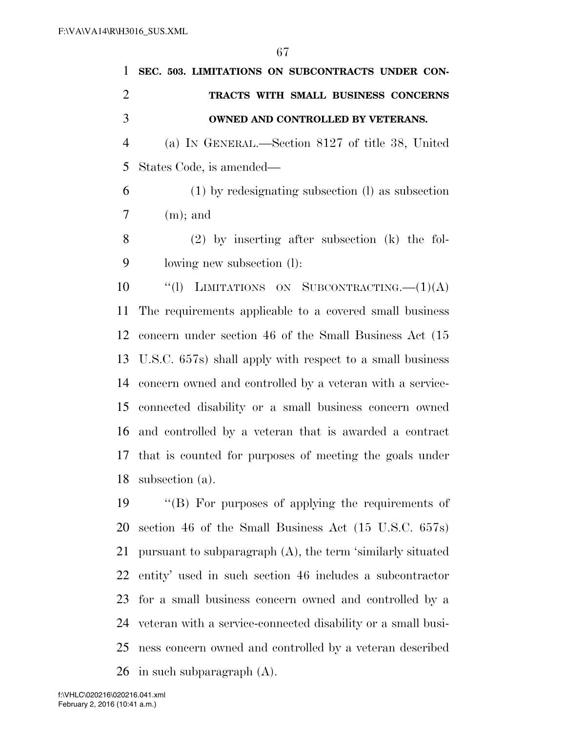| 1              | SEC. 503. LIMITATIONS ON SUBCONTRACTS UNDER CON-                |
|----------------|-----------------------------------------------------------------|
| $\overline{2}$ | TRACTS WITH SMALL BUSINESS CONCERNS                             |
| 3              | OWNED AND CONTROLLED BY VETERANS.                               |
| $\overline{4}$ | (a) IN GENERAL.—Section 8127 of title 38, United                |
| 5              | States Code, is amended—                                        |
| 6              | (1) by redesignating subsection (1) as subsection               |
| 7              | $(m)$ ; and                                                     |
| 8              | $(2)$ by inserting after subsection $(k)$ the fol-              |
| 9              | lowing new subsection (l):                                      |
| 10             | ``(1)<br>LIMITATIONS ON SUBCONTRACTING. $-(1)(A)$               |
| 11             | The requirements applicable to a covered small business         |
| 12             | concern under section 46 of the Small Business Act (15          |
| 13             | U.S.C. 657s) shall apply with respect to a small business       |
| 14             | concern owned and controlled by a veteran with a service-       |
| 15             | connected disability or a small business concern owned          |
| 16             | and controlled by a veteran that is awarded a contract          |
| 17             | that is counted for purposes of meeting the goals under         |
|                | 18 subsection $(a)$ .                                           |
| 19             | "(B) For purposes of applying the requirements of               |
| 20             | section 46 of the Small Business Act (15 U.S.C. 657s)           |
| 21             | pursuant to subparagraph $(A)$ , the term 'similarly situated   |
| 22             | entity' used in such section 46 includes a subcontractor        |
| 23             | for a small business concern owned and controlled by a          |
|                | 24 veteran with a service-connected disability or a small busi- |
|                |                                                                 |

ness concern owned and controlled by a veteran described

in such subparagraph (A).

February 2, 2016 (10:41 a.m.) f:\VHLC\020216\020216.041.xml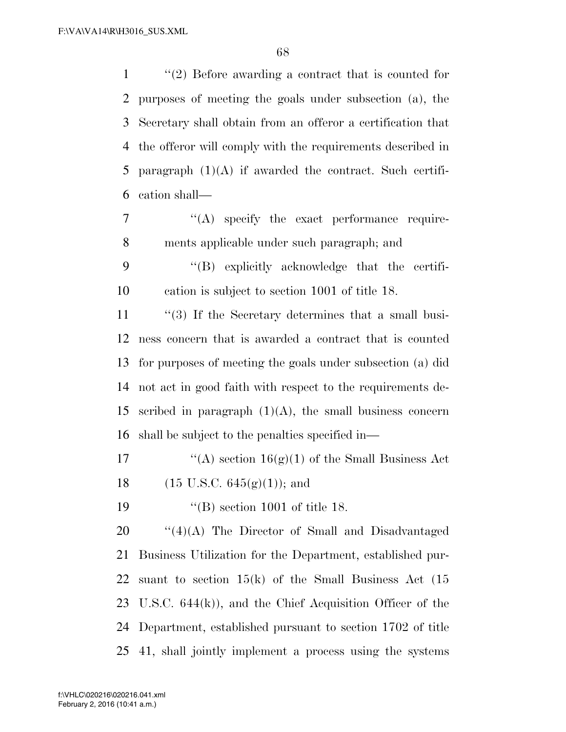''(2) Before awarding a contract that is counted for purposes of meeting the goals under subsection (a), the Secretary shall obtain from an offeror a certification that the offeror will comply with the requirements described in paragraph (1)(A) if awarded the contract. Such certifi-cation shall—

- 7 "(A) specify the exact performance require-ments applicable under such paragraph; and
- ''(B) explicitly acknowledge that the certifi-cation is subject to section 1001 of title 18.

 ''(3) If the Secretary determines that a small busi- ness concern that is awarded a contract that is counted for purposes of meeting the goals under subsection (a) did not act in good faith with respect to the requirements de-15 scribed in paragraph  $(1)(A)$ , the small business concern shall be subject to the penalties specified in—

- 17  $\langle (A) \rangle$  section 16(g)(1) of the Small Business Act 18 (15 U.S.C.  $645(g)(1)$ ); and
- ''(B) section 1001 of title 18.

 ''(4)(A) The Director of Small and Disadvantaged Business Utilization for the Department, established pur- suant to section 15(k) of the Small Business Act (15 U.S.C. 644(k)), and the Chief Acquisition Officer of the Department, established pursuant to section 1702 of title 41, shall jointly implement a process using the systems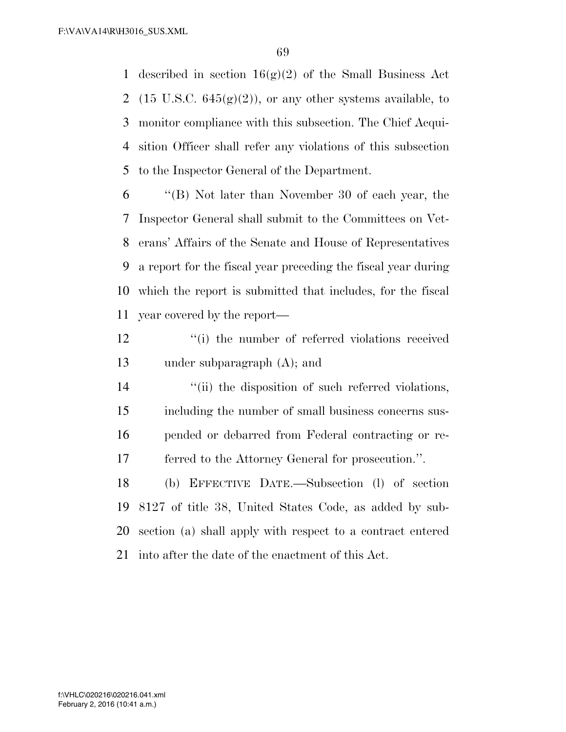1 described in section  $16(g)(2)$  of the Small Business Act 2 (15 U.S.C.  $645(g)(2)$ ), or any other systems available, to monitor compliance with this subsection. The Chief Acqui- sition Officer shall refer any violations of this subsection to the Inspector General of the Department.

 ''(B) Not later than November 30 of each year, the Inspector General shall submit to the Committees on Vet- erans' Affairs of the Senate and House of Representatives a report for the fiscal year preceding the fiscal year during which the report is submitted that includes, for the fiscal year covered by the report—

12 ''(i) the number of referred violations received under subparagraph (A); and

 $\frac{1}{2}$  (ii) the disposition of such referred violations, including the number of small business concerns sus- pended or debarred from Federal contracting or re-ferred to the Attorney General for prosecution.''.

 (b) EFFECTIVE DATE.—Subsection (l) of section 8127 of title 38, United States Code, as added by sub- section (a) shall apply with respect to a contract entered into after the date of the enactment of this Act.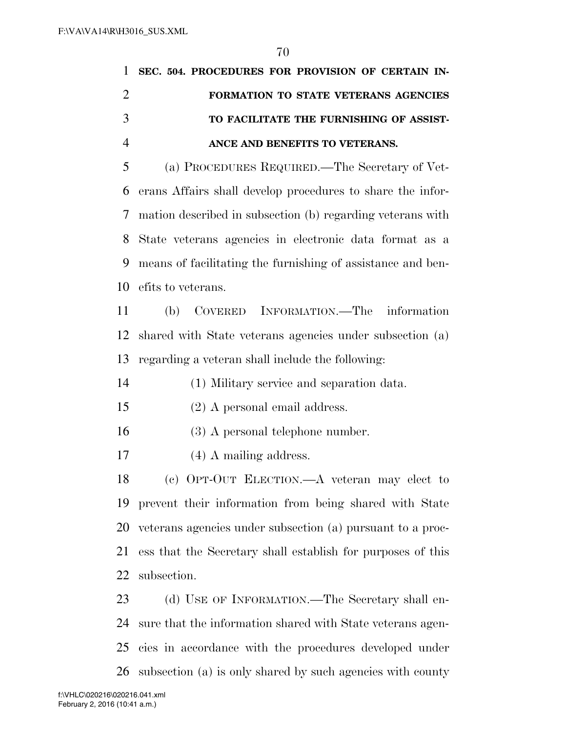| 1 SEC. 504. PROCEDURES FOR PROVISION OF CERTAIN IN- |
|-----------------------------------------------------|
| <b>FORMATION TO STATE VETERANS AGENCIES</b>         |
| TO FACILITATE THE FURNISHING OF ASSIST-             |
| ANCE AND BENEFITS TO VETERANS.                      |
|                                                     |

 (a) PROCEDURES REQUIRED.—The Secretary of Vet- erans Affairs shall develop procedures to share the infor- mation described in subsection (b) regarding veterans with State veterans agencies in electronic data format as a means of facilitating the furnishing of assistance and ben-efits to veterans.

 (b) COVERED INFORMATION.—The information shared with State veterans agencies under subsection (a) regarding a veteran shall include the following:

(1) Military service and separation data.

- (2) A personal email address.
- (3) A personal telephone number.
- 17 (4) A mailing address.

 (c) OPT-OUT ELECTION.—A veteran may elect to prevent their information from being shared with State veterans agencies under subsection (a) pursuant to a proc- ess that the Secretary shall establish for purposes of this subsection.

23 (d) USE OF INFORMATION.—The Secretary shall en- sure that the information shared with State veterans agen- cies in accordance with the procedures developed under subsection (a) is only shared by such agencies with county